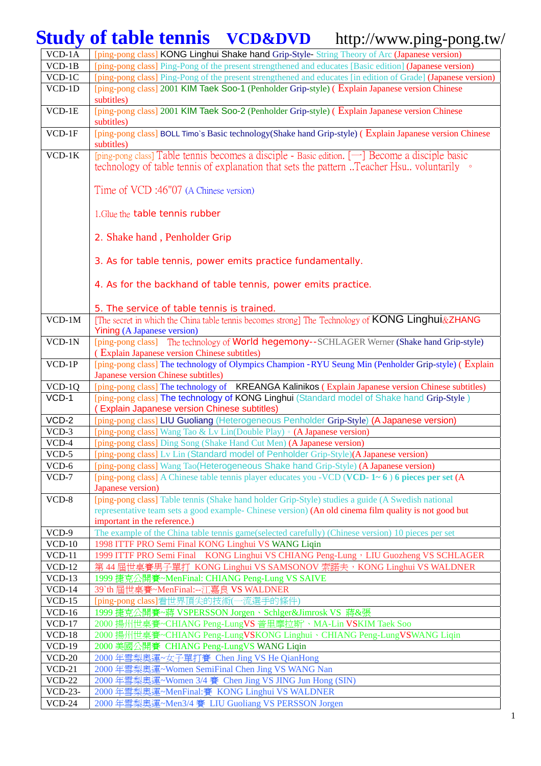## **Study of table tennis VCD&DVD** http://www.ping-pong.tw/

| VCD-1A              | [ping-pong class] KONG Linghui Shake hand Grip-Style- String Theory of Arc (Japanese version)                                                                                                                                              |
|---------------------|--------------------------------------------------------------------------------------------------------------------------------------------------------------------------------------------------------------------------------------------|
| $VCD-1B$            | [ping-pong class] Ping-Pong of the present strengthened and educates [Basic edition] (Japanese version)                                                                                                                                    |
| $\overline{V}CD-1C$ | [ping-pong class] Ping-Pong of the present strengthened and educates [in edition of Grade] (Japanese version)                                                                                                                              |
| VCD-1D              | [ping-pong class] 2001 KIM Taek Soo-1 (Penholder Grip-style) (Explain Japanese version Chinese<br>subtitles)                                                                                                                               |
| $VCD-1E$            | [ping-pong class] 2001 KIM Taek Soo-2 (Penholder Grip-style) (Explain Japanese version Chinese<br>subtitles)                                                                                                                               |
| $VCD-1F$            | [ping-pong class] BOLL Timo's Basic technology (Shake hand Grip-style) (Explain Japanese version Chinese<br>subtitles)                                                                                                                     |
| $VCD-1K$            | [ping-pong class] Table tennis becomes a disciple - Basic edition. [-] Become a disciple basic<br>technology of table tennis of explanation that sets the pattern Teacher Hsu voluntarily                                                  |
|                     | Time of VCD:46"07 (A Chinese version)                                                                                                                                                                                                      |
|                     | 1. Glue the table tennis rubber                                                                                                                                                                                                            |
|                     | 2. Shake hand, Penholder Grip                                                                                                                                                                                                              |
|                     | 3. As for table tennis, power emits practice fundamentally.                                                                                                                                                                                |
|                     | 4. As for the backhand of table tennis, power emits practice.                                                                                                                                                                              |
|                     | 5. The service of table tennis is trained.                                                                                                                                                                                                 |
| $VCD-1M$            | [The secret in which the China table tennis becomes strong] The Technology of KONG Linghui&ZHANG<br><b>Yining (A Japanese version)</b>                                                                                                     |
| $VCD-1N$            | [ping-pong class] The technology of World hegemony--SCHLAGER Werner (Shake hand Grip-style)<br>(Explain Japanese version Chinese subtitles)                                                                                                |
| $VCD-1P$            | [ping-pong class] The technology of Olympics Champion -RYU Seung Min (Penholder Grip-style) (Explain<br>Japanese version Chinese subtitles)                                                                                                |
| $VCD-1Q$            | [ping-pong class] The technology of KREANGA Kalinikos (Explain Japanese version Chinese subtitles)                                                                                                                                         |
| $VCD-1$             | [ping-pong class] The technology of KONG Linghui (Standard model of Shake hand Grip-Style)<br><b>Explain Japanese version Chinese subtitles)</b>                                                                                           |
| $VCD-2$             | [ping-pong class] LIU Guoliang (Heterogeneous Penholder Grip-Style) (A Japanese version)                                                                                                                                                   |
| $VCD-3$             | [ping-pong class] Wang Tao & Ly Lin(Double Play) • (A Japanese version)                                                                                                                                                                    |
| VCD-4               | [ping-pong class] Ding Song (Shake Hand Cut Men) (A Japanese version)                                                                                                                                                                      |
| $VCD-5$             | [ping-pong class] Lv Lin (Standard model of Penholder Grip-Style)(A Japanese version)                                                                                                                                                      |
| VCD-6               | [ping-pong class] Wang Tao(Heterogeneous Shake hand Grip-Style) (A Japanese version)                                                                                                                                                       |
| $VCD-7$             | [ping-pong class] A Chinese table tennis player educates you -VCD (VCD- $1 \sim 6$ ) 6 pieces per set (A<br>Japanese version)                                                                                                              |
| VCD-8               | [ping-pong class] Table tennis (Shake hand holder Grip-Style) studies a guide (A Swedish national<br>representative team sets a good example- Chinese version) (An old cinema film quality is not good but<br>important in the reference.) |
| VCD-9               | The example of the China table tennis game(selected carefully) (Chinese version) 10 pieces per set                                                                                                                                         |
| $VCD-10$            | 1998 ITTF PRO Semi Final KONG Linghui VS WANG Liqin                                                                                                                                                                                        |
| $VCD-11$            | 1999 ITTF PRO Semi Final KONG Linghui VS CHIANG Peng-Lung, LIU Guozheng VS SCHLAGER                                                                                                                                                        |
| $VCD-12$            |                                                                                                                                                                                                                                            |
| $VCD-13$            | 1999 捷克公開賽~MenFinal: CHIANG Peng-Lung VS SAIVE                                                                                                                                                                                             |
| $VCD-14$            | 39`th 屆世桌賽~MenFinal:--江嘉良 VS WALDNER                                                                                                                                                                                                       |
| $VCD-15$            | [ping-pong class]看世界頂尖的技術(一流選手的條件)                                                                                                                                                                                                         |
| $VCD-16$            | 1999 捷克公開賽~蔣 VSPERSSON Jorgen、Schlger&Jimrosk VS 蔣&張                                                                                                                                                                                       |
| $VCD-17$            | 2000 揚州世桌賽~CHIANG Peng-LungVS 普里摩拉斯'、MA-Lin VSKIM Taek Soo                                                                                                                                                                                 |
| $VCD-18$            | 2000 揚州世桌賽~CHIANG Peng-LungVSKONG Linghui、CHIANG Peng-LungVSWANG Liqin                                                                                                                                                                     |
| $VCD-19$            | 2000 美國公開賽 CHIANG Peng-LungVS WANG Liqin                                                                                                                                                                                                   |
| $VCD-20$            | 2000年雪梨奧運~女子單打賽 Chen Jing VS He QianHong                                                                                                                                                                                                   |
| $VCD-21$            | 2000年雪梨奧運~Women SemiFinal Chen Jing VS WANG Nan                                                                                                                                                                                            |
| $VCD-22$            | 2000年雪梨奧運~Women 3/4 賽 Chen Jing VS JING Jun Hong (SIN)                                                                                                                                                                                     |
| <b>VCD-23-</b>      | 2000年雪梨奧運~MenFinal:賽 KONG Linghui VS WALDNER                                                                                                                                                                                               |
| $VCD-24$            | 2000年雪梨奧運~Men3/4 賽 LIU Guoliang VS PERSSON Jorgen                                                                                                                                                                                          |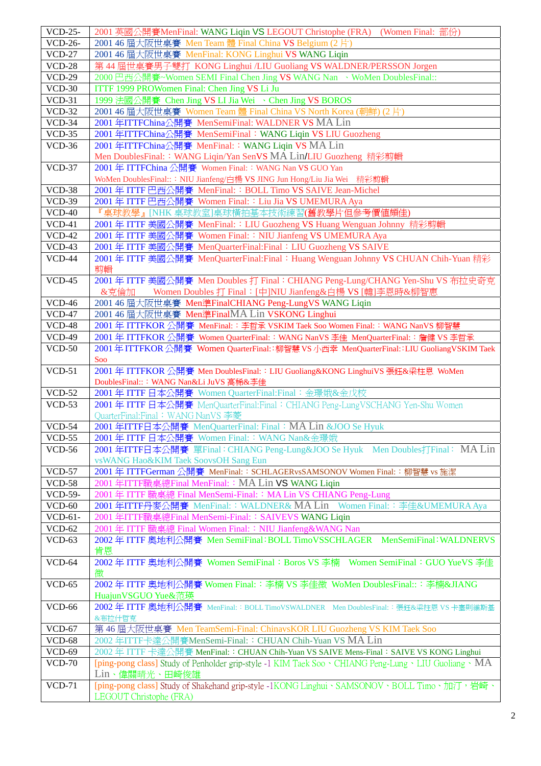| <b>VCD-25-</b>            | 2001 英國公開賽MenFinal: WANG Liqin VS LEGOUT Christophe (FRA) (Women Final: 部份)                                                                                                                                       |
|---------------------------|-------------------------------------------------------------------------------------------------------------------------------------------------------------------------------------------------------------------|
| <b>VCD-26-</b>            | 2001 46 屆大阪世桌賽 Men Team 體 Final China VS Belgium (2片)                                                                                                                                                             |
| $VCD-27$                  | 2001 46 屆大阪世桌賽 MenFinal: KONG Linghui VS WANG Liqin                                                                                                                                                               |
| $VCD-28$                  | 第44 屆世桌賽男子雙打 KONG Linghui /LIU Guoliang VS WALDNER/PERSSON Jorgen                                                                                                                                                 |
| $VCD-29$                  | 2000 巴西公開賽~Women SEMI Final Chen Jing VS WANG Nan 、WoMen DoublesFinal::                                                                                                                                           |
| $VCD-30$                  | ITTF 1999 PROWomen Final: Chen Jing VS Li Ju                                                                                                                                                                      |
| $VCD-31$                  | 1999 法國公開賽 Chen Jing VS LI Jia Wei 、Chen Jing VS BOROS                                                                                                                                                            |
| $VCD-32$                  | 2001 46 屆大阪世桌賽 Women Team 體 Final China VS North Korea (朝鮮) (2片)                                                                                                                                                  |
| $VCD-34$                  | 2001 年ITTFChina公開賽 MenSemiFinal: WALDNER VS MA Lin                                                                                                                                                                |
| $VCD-35$                  | 2001 年ITTFChina公開賽 MenSemiFinal: WANG Liqin VS LIU Guozheng                                                                                                                                                       |
| $VCD-36$                  | 2001 年ITTFChina公開賽 MenFinal:: WANG Liqin VS MA Lin<br>Men DoublesFinal:: WANG Liqin/Yan SenVS MA Lin/LIU Guozheng 精彩剪輯                                                                                            |
| $VCD-37$                  | 2001年 ITTFChina 公開賽 Women Final:: WANG Nan VS GUO Yan                                                                                                                                                             |
|                           | WoMen DoublesFinal::: NIU Jianfeng/白楊 VS JING Jun Hong/Liu Jia Wei 精彩剪輯                                                                                                                                           |
| $VCD-38$                  | 2001年 ITTF 巴西公開賽 MenFinal:: BOLL Timo VS SAIVE Jean-Michel                                                                                                                                                        |
| $VCD-39$                  | 2001年 ITTF 巴西公開賽 Women Final:: Liu Jia VS UMEMURA Aya                                                                                                                                                             |
| $VCD-40$                  | 『桌球教學』[NHK 桌球教室]桌球橫拍基本技術練習(舊教學片但參考價值頗佳)                                                                                                                                                                           |
| $VCD-41$                  | 2001 年 ITTF 美國公開賽 MenFinal: : LIU Guozheng VS Huang Wenguan Johnny 精彩剪輯                                                                                                                                           |
| $VCD-42$                  | 2001年 ITTF 美國公開賽 Women Final:: NIU Jianfeng VS UMEMURA Aya                                                                                                                                                        |
| $VCD-43$                  | 2001年 ITTF 美國公開賽 MenQuarterFinal:Final: LIU Guozheng VS SAIVE                                                                                                                                                     |
| $VCD-44$                  | 2001年 ITTF 美國公開賽 MenQuarterFinal:Final: Huang Wenguan Johnny VS CHUAN Chih-Yuan 精彩                                                                                                                                |
| $VCD-45$                  | 剪輯                                                                                                                                                                                                                |
|                           | 2001年 ITTF 美國公開賽 Men Doubles 打 Final: CHIANG Peng-Lung/CHANG Yen-Shu VS 布拉史奇克<br>Women Doubles 打 Final: [中]NIU Jianfeng&白楊 VS [韓]李恩時&柳智惠<br>&克倫加                                                                  |
| $VCD-46$                  | 2001 46 屆大阪世桌賽 Men準FinalCHIANG Peng-LungVS WANG Liqin                                                                                                                                                             |
| $VCD-47$                  | 2001 46 屆大阪世桌賽 Men準FinalMA Lin VSKONG Linghui                                                                                                                                                                     |
| <b>VCD-48</b>             | 2001 年 ITTFKOR 公開賽 MenFinal:: 李哲承 VSKIM Taek Soo Women Final:: WANG NanVS 柳智慧                                                                                                                                     |
| $VCD-49$                  | 2001年 ITTFKOR 公開賽 Women QuarterFinal:: WANG NanVS 李佳 MenQuarterFinal:: 詹健 VS 李哲承                                                                                                                                  |
| $VCD-50$                  | 2001年 ITTFKOR 公開賽 Women QuarterFinal::柳智慧 VS 小西幸 MenQuarterFinal::LIU GuoliangVSKIM Taek                                                                                                                          |
|                           | Soo                                                                                                                                                                                                               |
|                           |                                                                                                                                                                                                                   |
| $VCD-51$                  | 2001年 ITTFKOR 公開賽 Men DoublesFinal:: LIU Guoliang&KONG LinghuiVS 張鈺&梁柱恩 WoMen                                                                                                                                     |
|                           | DoublesFinal::: WANG Nan&Li JuVS 高稀&李佳                                                                                                                                                                            |
| $VCD-52$                  | 2001年 ITTF 日本公開賽 Women QuarterFinal:Final: 金璟娥&金戊校                                                                                                                                                                |
| $VCD-53$                  | 2001年 ITTF 日本公開賽 MenQuarterFinal:Final: CHIANG Peng-LungVSCHANG Yen-Shu Women<br>QuarterFinal:Final: WANG NanVS 李菱                                                                                                |
| $VCD-54$                  | 2001 年ITTF日本公開賽 MenQuarterFinal: Final: MA Lin &JOO Se Hyuk                                                                                                                                                       |
| $VCD-55$                  | 2001 年 ITTF 日本公開賽 Women Final:: WANG Nan&金璟娥                                                                                                                                                                      |
| $VCD-56$                  | 2001 年ITTF日本公開賽 單Final: CHIANG Peng-Lung&JOO Se Hyuk Men Doubles打Final: MA Lin                                                                                                                                    |
|                           | vsWANG Hao&KIM Taek SoovsOH Sang Eun                                                                                                                                                                              |
| $VCD-57$                  | 2001年 ITTFGerman 公開賽 MenFinal:: SCHLAGERvsSAMSONOV Women Final:: 柳智慧 vs 施潔                                                                                                                                        |
| <b>VCD-58</b>             | 2001 年ITTF職桌總Final MenFinal:: MA Lin VS WANG Liqin                                                                                                                                                                |
| VCD-59-                   | 2001年 ITTF 職桌總 Final MenSemi-Final:: MA Lin VS CHIANG Peng-Lung                                                                                                                                                   |
| $VCD-60$                  | 2001 年ITTF丹麥公開賽 MenFinal:: WALDNER& MA Lin Women Final:: 李佳&UMEMURA Aya                                                                                                                                           |
| VCD-61-                   | 2001 年ITTF職桌總Final MenSemi-Final:: SAIVEVS WANG Liqin                                                                                                                                                             |
| $VCD-62$<br>$VCD-63$      | 2001 年 ITTF 職桌總 Final Women Final: : NIU Jianfeng&WANG Nan                                                                                                                                                        |
|                           | 2002年 ITTF 奧地利公開賽 Men SemiFinal: BOLL TimoVSSCHLAGER MenSemiFinal: WALDNERVS<br>肯恩                                                                                                                                |
| VCD-64                    | 2002年 ITTF 奧地利公開賽 Women SemiFinal: Boros VS 李楠 Women SemiFinal: GUO YueVS 李佳                                                                                                                                      |
|                           | 微                                                                                                                                                                                                                 |
| $VCD-65$                  | 2002年 ITTF 奧地利公開賽 Women Final:: 李楠 VS 李佳微 WoMen DoublesFinal::: 李楠&JIANG                                                                                                                                          |
|                           | HuajunVSGUO Yue&范瑛                                                                                                                                                                                                |
| $VCD-66$                  | 2002年 ITTF 奥地利公開賽 MenFinal:: BOLL TimoVSWALDNER Men DoublesFinal:: 張鈺&梁柱恩 VS 卡塞則維斯基                                                                                                                               |
|                           | &布拉什哲克                                                                                                                                                                                                            |
| $VCD-67$                  | 第46屆大阪世桌賽 Men TeamSemi-Final: ChinavsKOR LIU Guozheng VS KIM Taek Soo                                                                                                                                             |
| <b>VCD-68</b>             | 2002年ITTF卡達公開賽MenSemi-Final:: CHUAN Chih-Yuan VS MA Lin                                                                                                                                                           |
| $VCD-69$<br><b>VCD-70</b> | 2002年 ITTF卡達公開賽 MenFinal:: CHUAN Chih-Yuan VS SAIVE Mens-Final: SAIVE VS KONG Linghui<br>[ping-pong class] Study of Penholder grip-style -1 KIM Taek Soo $\cdot$ CHIANG Peng-Lung $\cdot$ LIU Guoliang $\cdot$ MA |
| $VCD-71$                  | Lin、偉關晴光、田崎俊雄<br>[ping-pong class] Study of Shakehand grip-style -1KONG Linghui、SAMSONOV、BOLL Timo、加汀,岩崎、<br>LEGOUT Christophe (FRA)                                                                              |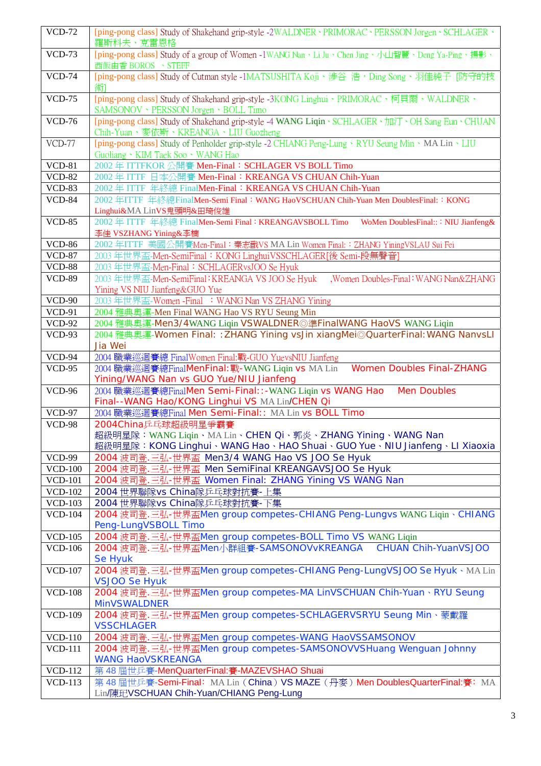| <b>VCD-72</b>  | [ping-pong class] Study of Shakehand grip-style -2WALDNER · PRIMORAC · PERSSON Jorgen · SCHLAGER ·<br>羅斯科夫、克雷恩格           |
|----------------|---------------------------------------------------------------------------------------------------------------------------|
| $VCD-73$       | [ping-pong class] Study of a group of Women -1WANG Nan、Li Ju、Chen Jing、小山智麗、Deng Ya-Ping、揚影、                              |
|                | 西飯由香 BOROS 、STEFF                                                                                                         |
| <b>VCD-74</b>  | [ping-pong class] Study of Cutman style -1MATSUSHITA Koji、涉谷 浩,Ding Song、羽佳純子 [防守的技                                       |
|                | 術                                                                                                                         |
| <b>VCD-75</b>  | [ping-pong class] Study of Shakehand grip-style -3KONG Linghui、PRIMORAC、柯貝爾、WALDNER、                                      |
|                | SAMSONOV · PERSSON Jorgen · BOLL Timo                                                                                     |
| <b>VCD-76</b>  | [ping-pong class] Study of Shakehand grip-style -4 WANG Liqin、SCHLAGER、加汀、OH Sang Eun、CHUAN                               |
|                |                                                                                                                           |
|                | Chih-Yuan、麥依斯、KREANGA、LIU Guozheng                                                                                        |
| <b>VCD-77</b>  | [ping-pong class] Study of Penholder grip-style -2 CHIANG Peng-Lung · RYU Seung Min · MA Lin · LIU                        |
|                | Guoliang · KIM Taek Soo · WANG Hao                                                                                        |
| $VCD-81$       | 2002年 ITTFKOR 公開賽 Men-Final: SCHLAGER VS BOLL Timo                                                                        |
| <b>VCD-82</b>  | 2002年 ITTF 日本公開賽 Men-Final: KREANGA VS CHUAN Chih-Yuan                                                                    |
| <b>VCD-83</b>  | 2002年 ITTF 年終總 FinalMen-Final: KREANGA VS CHUAN Chih-Yuan                                                                 |
| <b>VCD-84</b>  | 2002 年ITTF 年終總FinalMen-Semi Final: WANG HaoVSCHUAN Chih-Yuan Men DoublesFinal:: KONG                                      |
|                | Linghui&MA LinVS鬼頭明&田琦俊雄                                                                                                  |
| $VCD-85$       | 2002年 ITTF 年終總 FinalMen-Semi Final: KREANGAVSBOLL Timo<br>WoMen DoublesFinal::: NIU Jianfeng&                             |
|                | 李佳 VSZHANG Yining&李楠                                                                                                      |
| <b>VCD-86</b>  | 2002年ITTF 美國公開賽Men-Final: 秦志戩VS MA Lin Women Final: : ZHANG YiningVSLAU Sui Fei                                           |
| <b>VCD-87</b>  | 2003年世界盃-Men-SemiFinal: KONG LinghuiVSSCHLAGER[後 Semi-段無聲音]                                                               |
| <b>VCD-88</b>  | 2003 年世界盃-Men-Final: SCHLAGERvsJOO Se Hyuk                                                                                |
| <b>VCD-89</b>  | , Women Doubles-Final: WANG Nan&ZHANG<br>2003年世界盃-Men-SemiFinal: KREANGA VS JOO Se Hyuk                                   |
|                |                                                                                                                           |
|                | Yining VS NIU Jianfeng&GUO Yue                                                                                            |
| $VCD-90$       | 2003年世界盃-Women -Final : WANG Nan VS ZHANG Yining                                                                          |
| $VCD-91$       | 2004 雅典奧運-Men Final WANG Hao VS RYU Seung Min                                                                             |
| <b>VCD-92</b>  | 2004 雅典奧運-Men3/4WANG Liqin VSWALDNER◎準FinalWANG HaoVS WANG Liqin                                                          |
| $VCD-93$       | 2004 雅典奧運-Women Final:: ZHANG Yining vsJin xiangMei@QuarterFinal: WANG NanvsLI                                            |
|                | Jia Wei                                                                                                                   |
| $VCD-94$       | 2004 職業巡迴賽總 FinalWomen Final:戰-GUO YuevsNIU Jianfeng                                                                      |
|                |                                                                                                                           |
| $VCD-95$       | <b>Women Doubles Final-ZHANG</b><br>2004 職業巡迴賽總FinalMenFinal: 戰-WANG Liqin vs MA Lin                                      |
|                | Yining/WANG Nan vs GUO Yue/NIU Jianfeng                                                                                   |
| <b>VCD-96</b>  | 2004 職業巡迴賽總FinalMen Semi-Final:: - WANG Liqin vs WANG Hao<br><b>Men Doubles</b>                                           |
|                | Final--WANG Hao/KONG Linghui VS MA Lin/CHEN Qi                                                                            |
| <b>VCD-97</b>  | 2004 職業巡迴賽總Final Men Semi-Final:: MA Lin vs BOLL Timo                                                                     |
| <b>VCD-98</b>  | 2004China乒乓球超級明星爭霸賽                                                                                                       |
|                | 超級明星隊:WANG Liqin、MA Lin、CHEN Qi、郭炎、ZHANG Yining、WANG Nan                                                                  |
|                | 超級明星隊: KONG Linghui、WANG Hao、HAO Shuai、GUO Yue、NIU Jianfeng、LI Xiaoxia                                                    |
| <b>VCD-99</b>  | 2004 波司登. 三弘-世界盃 Men3/4 WANG Hao VS JOO Se Hyuk                                                                           |
| <b>VCD-100</b> | 2004 波司登.三弘-世界盃 Men SemiFinal KREANGAVSJOO Se Hyuk                                                                        |
| <b>VCD-101</b> | 2004 波司登.三弘-世界盃 Women Final: ZHANG Yining VS WANG Nan                                                                     |
| <b>VCD-102</b> | 2004 世界聯隊vs China隊乒乓球對抗賽-上集                                                                                               |
| <b>VCD-103</b> | 2004 世界聯隊vs China隊乒乓球對抗賽-下集                                                                                               |
| <b>VCD-104</b> |                                                                                                                           |
|                | 2004 波司登.三弘-世界盃Men group competes-CHIANG Peng-Lungvs WANG Liqin 、CHIANG                                                   |
|                | Peng-LungVSBOLL Timo                                                                                                      |
| <b>VCD-105</b> | 2004 波司登. 三弘-世界盃Men group competes-BOLL Timo VS WANG Liqin                                                                |
| <b>VCD-106</b> | <b>CHUAN Chih-YuanVSJOO</b><br>2004 波司登.三弘-世界盃Men小群組賽-SAMSONOVvKREANGA                                                    |
|                | Se Hyuk                                                                                                                   |
| <b>VCD-107</b> | 2004 波司登.三弘-世界盃Men group competes-CHIANG Peng-LungVSJOO Se Hyuk · MA Lin                                                  |
|                | <b>VSJOO Se Hyuk</b>                                                                                                      |
| <b>VCD-108</b> | 2004 波司登. 三弘-世界盃Men group competes-MA LinVSCHUAN Chih-Yuan、RYU Seung                                                      |
|                | <b>MinVSWALDNER</b>                                                                                                       |
| <b>VCD-109</b> | 2004 波司登. 三弘-世界盃Men group competes-SCHLAGERVSRYU Seung Min、蒙戴羅                                                            |
|                | <b>VSSCHLAGER</b>                                                                                                         |
| <b>VCD-110</b> | 2004 波司登.三弘-世界盃Men group competes-WANG HaoVSSAMSONOV                                                                      |
| <b>VCD-111</b> | 2004 波司登. 三弘-世界盃Men group competes-SAMSONOVVSHuang Wenguan Johnny                                                         |
|                | <b>WANG HaoVSKREANGA</b>                                                                                                  |
| <b>VCD-112</b> | 第48屆世兵賽-MenQuarterFinal:賽-MAZEVSHAO Shuai                                                                                 |
| <b>VCD-113</b> | 第48屆世兵賽-Semi-Final: MA Lin (China) VS MAZE (丹麥) Men DoublesQuarterFinal:賽: MA<br>Lin/陳玘VSCHUAN Chih-Yuan/CHIANG Peng-Lung |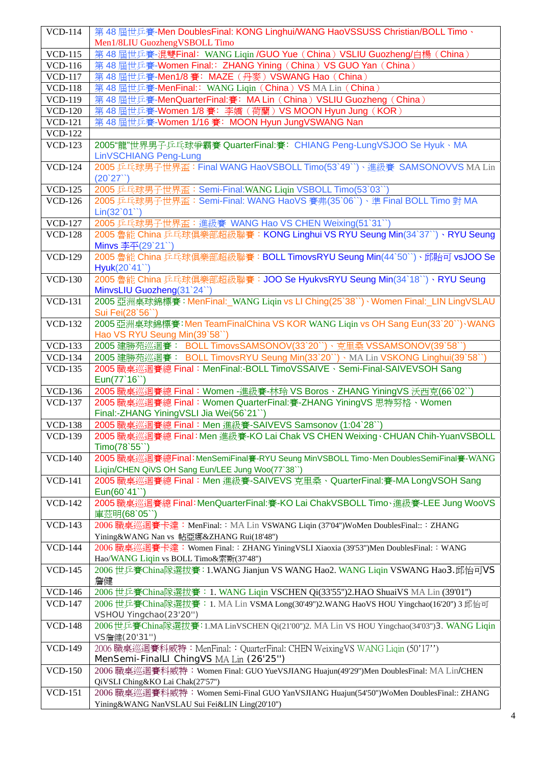| <b>VCD-114</b> | 第48屆世兵賽-Men DoublesFinal: KONG Linghui/WANG HaoVSSUSS Christian/BOLL Timo、                |
|----------------|-------------------------------------------------------------------------------------------|
|                | Men1/8LIU GuozhengVSBOLL Timo                                                             |
| <b>VCD-115</b> | 第48屆世兵賽-混雙Final: WANG Liqin / GUO Yue (China) VSLIU Guozheng/白楊 (China)                   |
| <b>VCD-116</b> | 第48屆世兵賽-Women Final:: ZHANG Yining (China) VS GUO Yan (China)                             |
| <b>VCD-117</b> | 第48屆世乒賽-Men1/8賽: MAZE (丹麥) VSWANG Hao (China)                                             |
| <b>VCD-118</b> | 第48屆世兵賽-MenFinal:: WANG Liqin (China) VS MA Lin (China)                                   |
| <b>VCD-119</b> | 第48屆世兵賽-MenQuarterFinal:賽: MA Lin (China) VSLIU Guozheng (China)                          |
| <b>VCD-120</b> | 第48屆世兵賽-Women 1/8 賽: 李嬌 (荷蘭) VS MOON Hyun Jung (KOR)                                      |
| <b>VCD-121</b> | 第48屆世兵賽-Women 1/16 賽: MOON Hyun JungVSWANG Nan                                            |
| <b>VCD-122</b> |                                                                                           |
| <b>VCD-123</b> | 2005"龍"世界男子乒乓球爭霸賽 QuarterFinal:賽: CHIANG Peng-LungVSJOO Se Hyuk · MA                      |
|                | LinVSCHIANG Peng-Lung                                                                     |
| <b>VCD-124</b> | 2005 乒乓球男子世界盃: Final WANG HaoVSBOLL Timo(53`49``)、進級賽 SAMSONOVVS MA Lin                   |
|                | (20'27'')                                                                                 |
| <b>VCD-125</b> | 2005 乒乓球男子世界盃: Semi-Final:WANG Liqin VSBOLL Timo(53`03``)                                 |
| <b>VCD-126</b> | 2005 乒乓球男子世界盃: Semi-Final: WANG HaoVS 賽弗(35`06``)、準 Final BOLL Timo 對 MA                  |
|                | $Lin(32^01^{\prime\prime})$                                                               |
| <b>VCD-127</b> | 2005 乒乓球男子世界盃: 進級賽 WANG Hao VS CHEN Weixing(51`31``)                                      |
| <b>VCD-128</b> | 2005 魯能 China 乒乓球俱樂部超級聯賽: KONG Linghui VS RYU Seung Min(34`37``)、RYU Seung                |
|                | Minvs 李平(29`21``)                                                                         |
| <b>VCD-129</b> | 2005 魯能 China 乒乓球俱樂部超級聯賽: BOLL TimovsRYU Seung Min(44`50``)、邱貽可 vsJOO Se                  |
|                | Hyuk(20°41°)                                                                              |
| <b>VCD-130</b> | 2005 魯能 China 乒乓球俱樂部超級聯賽: JOO Se HyukvsRYU Seung Min(34`18``) 、RYU Seung                  |
|                | MinvsLIU Guozheng(31`24``)                                                                |
| <b>VCD-131</b> | 2005 亞洲桌球錦標賽: MenFinal:_WANG Ligin vs LI Ching(25`38``)、Women Final:_LIN LingVSLAU        |
|                |                                                                                           |
|                | Sui Fei(28`56``)                                                                          |
| <b>VCD-132</b> | 2005 亞洲桌球錦標賽: Men TeamFinalChina VS KOR WANG Ligin vs OH Sang Eun(33`20``) WANG           |
|                | Hao VS RYU Seung Min(39`58`)                                                              |
| <b>VCD-133</b> | 2005 建勝苑巡迴賽: BOLL TimovsSAMSONOV(33`20``)、克里桑 VSSAMSONOV(39`58``)                         |
| <b>VCD-134</b> | 2005 建勝苑巡迴賽: BOLL TimovsRYU Seung Min(33`20``) · MA Lin VSKONG Linghui(39`58``)           |
| <b>VCD-135</b> | 2005 職桌巡迴賽總 Final: MenFinal:-BOLL TimoVSSAIVE、Semi-Final-SAIVEVSOH Sang                   |
|                | Eun(77'16")                                                                               |
| <b>VCD-136</b> | 2005 職桌巡迴賽總 Final: Women -進級賽-林玲 VS Boros、ZHANG YiningVS 沃西克(66`02``)                     |
| <b>VCD-137</b> | 2005 職桌巡迴賽總 Final: Women QuarterFinal:賽-ZHANG YiningVS 思特努格、Women                         |
|                | Final:-ZHANG YiningVSLI Jia Wei(56`21``)                                                  |
| <b>VCD-138</b> | 2005 職桌巡迴賽總 Final: Men 進級賽-SAIVEVS Samsonov (1:04`28``)                                   |
| <b>VCD-139</b> | 2005 職桌巡迴賽總 Final: Men 進級賽-KO Lai Chak VS CHEN Weixing、CHUAN Chih-YuanVSBOLL              |
|                | Timo(78'55")                                                                              |
| <b>VCD-140</b> | 2005 職桌巡迴賽總Final: MenSemiFinal賽-RYU Seung MinVSBOLL Timo Men DoublesSemiFinal賽-WANG       |
|                | Liqin/CHEN QiVS OH Sang Eun/LEE Jung Woo(77`38``)                                         |
| <b>VCD-141</b> | 2005 職桌巡迴賽總 Final: Men 進級賽-SAIVEVS 克里桑、QuarterFinal:賽-MA LongVSOH Sang                    |
|                | $Eun(60^{\circ}41^{\circ})$                                                               |
| <b>VCD-142</b> | 2005 職桌巡迴賽總 Final: MenQuarterFinal:賽-KO Lai ChakVSBOLL Timo、進級賽-LEE Jung WooVS            |
|                | 庫茲明(68`05``)                                                                              |
| <b>VCD-143</b> | 2006 職桌巡迴賽卡達: MenFinal:: MA Lin VSWANG Liqin (37'04")WoMen DoublesFinal::: ZHANG          |
|                | Yining&WANG Nan vs 帖亞娜&ZHANG Rui(18'48")                                                  |
| <b>VCD-144</b> | 2006 職桌巡迴賽卡達:Women Final:: ZHANG YiningVSLI Xiaoxia (39'53'')Men DoublesFinal:: WANG      |
|                | Hao/WANG Liqin vs BOLL Timo&索斯(37'48")                                                    |
| <b>VCD-145</b> | 2006 世乒賽China隊選拔賽: 1.WANG Jianjun VS WANG Hao2. WANG Liqin VSWANG Hao3.邱怡可VS              |
|                | 詹健                                                                                        |
| <b>VCD-146</b> | 2006 世乒賽China隊選拔賽: 1. WANG Liqin VSCHEN Qi(33'55")2.HAO ShuaiVS MA Lin (39'01")           |
| <b>VCD-147</b> | 2006 世乒賽China隊選拔賽:1. MA Lin VSMA Long(30'49'')2.WANG HaoVS HOU Yingchao(16'20'') 3 邱怡可    |
|                | VSHOU Yingchao(23'20")                                                                    |
| <b>VCD-148</b> | 2006世乒賽China隊選拔賽: 1.MA LinVSCHEN Qi(21'00")2. MA Lin VS HOU Yingchao(34'03")3. WANG Liqin |
|                | VS詹健(20'31")                                                                              |
| <b>VCD-149</b> | 2006 職桌巡迴賽科威特: MenFinal:: QuarterFinal: CHEN WeixingVS WANG Liqin (50'17'')               |
|                | MenSemi-FinalLI ChingVS MA Lin (26'25")                                                   |
| <b>VCD-150</b> | 2006 職桌巡迴賽科威特: Women Final: GUO YueVSJIANG Huajun(49'29")Men DoublesFinal: MA Lin/CHEN    |
|                | QiVSLI Ching&KO Lai Chak(27'57")                                                          |
| <b>VCD-151</b> | 2006 職桌巡迴賽科威特: Women Semi-Final GUO YanVSJIANG Huajun(54'50")WoMen DoublesFinal:: ZHANG   |
|                | Yining&WANG NanVSLAU Sui Fei&LIN Ling(20'10")                                             |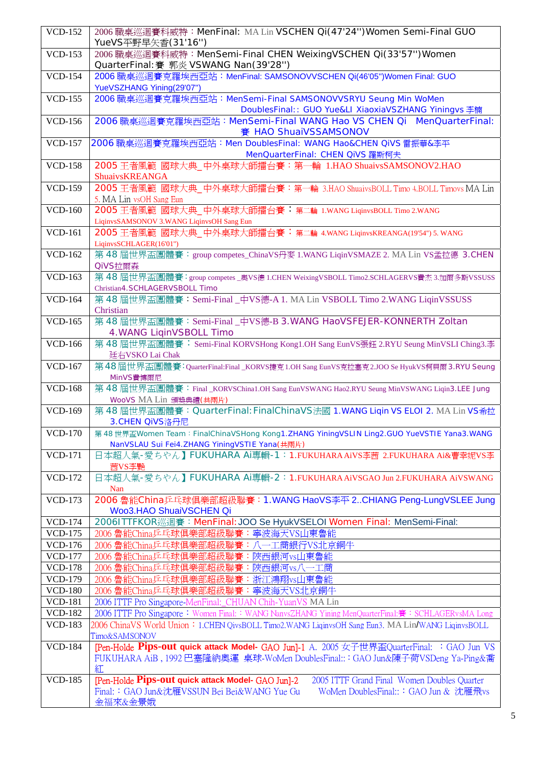| <b>VCD-152</b> | 2006 職桌巡迴賽科威特: MenFinal: MA Lin VSCHEN Qi(47'24")Women Semi-Final GUO<br>YueVS平野早矢香(31'16")              |
|----------------|----------------------------------------------------------------------------------------------------------|
| <b>VCD-153</b> | 2006 職桌巡迴賽科威特: MenSemi-Final CHEN WeixingVSCHEN Qi(33'57")Women                                          |
|                | QuarterFinal: 賽 郭炎 VSWANG Nan(39'28")                                                                    |
| <b>VCD-154</b> | 2006 職桌巡迴賽克羅埃西亞站: MenFinal: SAMSONOVVSCHEN Qi(46'05")Women Final: GUO<br>YueVSZHANG Yining(29'07")       |
| <b>VCD-155</b> | 2006 職桌巡迴賽克羅埃西亞站: MenSemi-Final SAMSONOVVSRYU Seung Min WoMen                                            |
|                | DoublesFinal:: GUO Yue&LI XiaoxiaVSZHANG Yiningvs 李楠                                                     |
| <b>VCD-156</b> | 2006 職桌巡迴賽克羅埃西亞站: MenSemi-Final WANG Hao VS CHEN Qi MenQuarterFinal:                                     |
|                | 賽 HAO ShuaiVSSAMSONOV                                                                                    |
| <b>VCD-157</b> | 2006 職桌巡迴賽克羅埃西亞站: Men DoublesFinal: WANG Hao&CHEN QiVS 雷振華&李平                                            |
|                | MenQuarterFinal: CHEN QiVS 羅斯柯夫                                                                          |
| <b>VCD-158</b> | 2005 王者風範 國球大典_中外桌球大師擂台賽:第一輪 1.HAO ShuaivsSAMSONOV2.HAO                                                  |
|                | ShuaivsKREANGA                                                                                           |
| <b>VCD-159</b> | 2005 王者風範 國球大典_中外桌球大師擂台賽: 第一輪 3.HAO ShuaivsBOLL Timo 4.BOLL Timovs MA Lin                                |
|                | 5. MA Lin vsOH Sang Eun                                                                                  |
| <b>VCD-160</b> | 2005 王者風範 國球大典_中外桌球大師擂台賽:第二輪 1.WANG LiqinvsBOLL Timo 2.WANG                                              |
|                | LiqinvsSAMSONOV 3.WANG LiqinvsOH Sang Eun                                                                |
| <b>VCD-161</b> | 2005 王者風範 國球大典_中外桌球大師擂台賽: 第二輪 4.WANG LiqinvsKREANGA(19'54") 5. WANG                                      |
|                | LiqinvsSCHLAGER(16'01")                                                                                  |
| <b>VCD-162</b> | 第48屆世界盃團體賽: group competes_ChinaVS丹麥 1.WANG LiqinVSMAZE 2. MA Lin VS孟拉德 3.CHEN                           |
|                | <b>QiVS拉爾森</b>                                                                                           |
| <b>VCD-163</b> | 第48屆世界盃團體賽:group competes_奥VS德 1.CHEN WeixingVSBOLL Timo2.SCHLAGERVS費杰 3.加爾多斯VSSUSS                      |
|                | Christian4.SCHLAGERVSBOLL Timo                                                                           |
| <b>VCD-164</b> | 第48屆世界盃團體賽: Semi-Final_中VS德-A 1. MA Lin VSBOLL Timo 2.WANG LiqinVSSUSS                                   |
|                | Christian                                                                                                |
| <b>VCD-165</b> | 第48屆世界盃團體賽: Semi-Final_中VS德-B 3.WANG HaoVSFEJER-KONNERTH Zoltan                                          |
|                | 4. WANG LiqinVSBOLL Timo                                                                                 |
| <b>VCD-166</b> | 第 48 屆世界盃團體賽: Semi-Final KORVSHong Kong1.OH Sang EunVS張鈺 2.RYU Seung MinVSLI Ching3.李<br>廷右VSKO Lai Chak |
| <b>VCD-167</b> | 第48屆世界盃團體賽:QuarterFinal:Final _KORVS捷克1.OH Sang EunVS克拉塞克2.JOO Se HyukVS柯貝爾3.RYU Seung                   |
|                | MinVS費博爾尼                                                                                                |
| <b>VCD-168</b> | 第48屆世界盃團體賽:Final_KORVSChina1.OH Sang EunVSWANG Hao2.RYU Seung MinVSWANG Liqin3.LEE Jung                  |
|                | WooVS MA Lin 頒獎典禮(共兩片)                                                                                   |
| <b>VCD-169</b> | 第48屆世界盃團體賽: QuarterFinal: FinalChinaVS法國 1.WANG Liqin VS ELOI 2. MA Lin VS希拉                             |
|                | 3.CHEN QiVS洛丹尼                                                                                           |
| <b>VCD-170</b> | 第48世界盃Women Team: FinalChinaVSHong Kong1.ZHANG YiningVSLIN Ling2.GUO YueVSTIE Yana3.WANG                 |
|                | NanVSLAU Sui Fei4.ZHANG YiningVSTIE Yana(共兩片)                                                            |
| <b>VCD-171</b> | 日本超人氣-愛ちやん】FUKUHARA Ai專輯-1:1.FUKUHARA AiVS李茜 2.FUKUHARA Ai&曹幸妮VS李                                        |
|                | 茜VS李艷<br>日本超人氣-愛ちやん】FUKUHARA Ai專輯-2:1.FUKUHARA AiVSGAO Jun 2.FUKUHARA AiVSWANG                           |
| <b>VCD-172</b> | Nan                                                                                                      |
| <b>VCD-173</b> | 2006 魯能China乒乓球俱樂部超級聯賽: 1.WANG HaoVS李平 2CHIANG Peng-LungVSLEE Jung                                       |
|                | Woo3.HAO ShuaiVSCHEN Qi                                                                                  |
| <b>VCD-174</b> | 2006ITTFKOR巡迴賽: MenFinal: JOO Se HyukVSELOI Women Final: MenSemi-Final:                                  |
| <b>VCD-175</b> | 2006 魯能China乒乓球俱樂部超級聯賽:寧波海天VS山東魯能                                                                        |
| <b>VCD-176</b> | 2006 魯能China乒乓球俱樂部超級聯賽:八一工商銀行VS北京銅牛                                                                      |
| <b>VCD-177</b> | 2006 魯能China乒乓球俱樂部超級聯賽:陝西銀河vs山東魯能                                                                        |
| <b>VCD-178</b> | 2006 魯能China乒乓球俱樂部超級聯賽:陝西銀河vs八一工商                                                                        |
| <b>VCD-179</b> | 2006 魯能China乒乓球俱樂部超級聯賽:浙江鴻翔vs山東魯能                                                                        |
| <b>VCD-180</b> | 2006 魯能China乒乓球俱樂部超級聯賽:寧波海天VS北京銅牛                                                                        |
| <b>VCD-181</b> | 2006 ITTF Pro Singapore-MenFinal:_CHUAN Chih-YuanVS MA Lin                                               |
| <b>VCD-182</b> | 2006 ITTF Pro Singapore: Women Final:: WANG NanvsZHANG Yining MenQuarterFinal:賽: SCHLAGERvsMA Long       |
| <b>VCD-183</b> | 2006 ChinaVS World Union: 1.CHEN QivsBOLL Timo2.WANG LiginvsOH Sang Eun3. MA Lin/WANG LiginvsBOLL        |
|                | Timo&SAMSONOV                                                                                            |
| <b>VCD-184</b> | [Pen-Holde Pips-out quick attack Model- GAO Jun]-1 A. 2005 女子世界盃QuarterFinal: : GAO Jun VS               |
|                | FUKUHARA AiB, 1992 巴塞隆納奧運 桌球-WoMen DoublesFinal::: GAO Jun&陳子荷VSDeng Ya-Ping&喬                           |
|                | 紅                                                                                                        |
| <b>VCD-185</b> | [Pen-Holde Pips-out quick attack Model- GAO Jun]-2<br>2005 ITTF Grand Final Women Doubles Quarter        |
|                | Final:: GAO Jun&沈雁VSSUN Bei Bei&WANG Yue Gu<br>WoMen DoublesFinal::: GAO Jun & 沈雁飛vs                     |
|                | 金福來&金景娥                                                                                                  |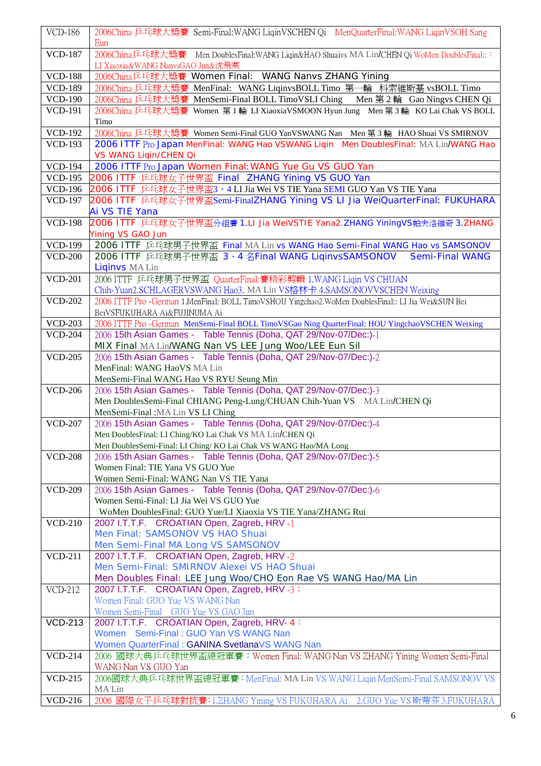| <b>VCD-186</b> | 2006China 乒乓球大獎賽 Semi-Final:WANG LiqinVSCHEN Qi MenQuarterFinal:WANG LiqinVSOH Sang<br>Eun                   |
|----------------|--------------------------------------------------------------------------------------------------------------|
| <b>VCD-187</b> | 2006China乒乓球大獎賽<br>Men DoublesFinal: WANG Liqin&HAO Shuaivs MA Lin/CHEN Qi WoMen DoublesFinal:::             |
|                | LI Xiaoxia&WANG NanvsGAO Jun&沈飛燕                                                                             |
| <b>VCD-188</b> | 2006China乒乓球大獎賽 Women Final: WANG Nanvs ZHANG Yining                                                         |
| <b>VCD-189</b> | 2006China 乒乓球大獎賽 MenFinal: WANG LiqinvsBOLL Timo 第一輪 科索維斯基 vsBOLL Timo                                       |
| <b>VCD-190</b> | 2006China 乒乓球大獎賽 MenSemi-Final BOLL TimoVSLI Ching Men 第2輪 Gao Ningvs CHEN Qi                                |
| <b>VCD-191</b> | 2006China 乒乓球大獎賽 Women 第1輪 LI XiaoxiaVSMOON Hyun Jung Men 第3輪 KO Lai Chak VS BOLL                            |
|                | Timo                                                                                                         |
| <b>VCD-192</b> | 2006China 乒乓球大獎賽 Women Semi-Final GUO YanVSWANG Nan Men 第3輪 HAO Shuai VS SMIRNOV                             |
| <b>VCD-193</b> | 2006 ITTF Pro Japan MenFinal: WANG Hao VSWANG Liqin Men DoublesFinal: MA Lin/WANG Hao                        |
|                | VS WANG Liqin/CHEN Qi                                                                                        |
| <b>VCD-194</b> | 2006 ITTF Pro Japan Women Final: WANG Yue Gu VS GUO Yan                                                      |
| <b>VCD-195</b> | 2006 ITTF 乒乓球女子世界盃 Final ZHANG Yining VS GUO Yan                                                             |
| <b>VCD-196</b> | 2006 ITTF 乒乓球女子世界盃3、4 LI Jia Wei VS TIE Yana SEMI GUO Yan VS TIE Yana                                        |
| <b>VCD-197</b> | 2006 ITTF 乒乓球女子世界盃Semi-FinalZHANG Yining VS LI Jia WeiQuarterFinal: FUKUHARA                                 |
|                | Ai VS TIE Yana                                                                                               |
| <b>VCD-198</b> | 2006 ITTF 乒乓球女子世界盃分組賽 1.LI Jia WeiVSTIE Yana2.ZHANG YiningVS帕夫洛維奇 3.ZHANG                                    |
|                | Yining VS GAO Jun                                                                                            |
| <b>VCD-199</b> | 2006 ITTF 乒乓球男子世界盃 Final MA Lin vs WANG Hao Semi-Final WANG Hao vs SAMSONOV                                  |
| <b>VCD-200</b> | 2006 ITTF 乒乓球男子世界盃 3、4 名Final WANG LiqinvsSAMSONOV<br><b>Semi-Final WANG</b>                                 |
|                | <b>Liginvs MA Lin</b>                                                                                        |
| <b>VCD-201</b> | 2006 ITTF 乒乓球男子世界盃 QuarterFinal:賽精彩剪輯 1.WANG Liqin VS CHUAN                                                  |
|                | Chih-Yuan2.SCHLAGERVSWANG Hao3. MA Lin VS格林卡 4.SAMSONOVVSCHEN Weixing                                        |
| <b>VCD-202</b> | 2006 ITTF Pro -German 1.MenFinal: BOLL TimoVSHOU Yingchao2.WoMen DoublesFinal:: LI Jia Wei&SUN Bei           |
|                | BeiVSFUKUHARA Ai&FUJINUMA Ai                                                                                 |
| <b>VCD-203</b> | 2006 ITTF Pro -German MenSemi-Final BOLL TimoVSGao Ning QuarterFinal: HOU YingchaoVSCHEN Weixing             |
| <b>VCD-204</b> | 2006 15th Asian Games - Table Tennis (Doha, QAT 29/Nov-07/Dec:)-1                                            |
|                | MIX Final MA Lin/WANG Nan VS LEE Jung Woo/LEE Eun Sil                                                        |
| <b>VCD-205</b> | 2006 15th Asian Games - Table Tennis (Doha, QAT 29/Nov-07/Dec:)-2                                            |
|                | MenFinal: WANG HaoVS MA Lin                                                                                  |
|                | MenSemi-Final WANG Hao VS RYU Seung Min                                                                      |
| <b>VCD-206</b> | 2006 15th Asian Games - Table Tennis (Doha, QAT 29/Nov-07/Dec:)-3                                            |
|                | Men DoublesSemi-Final CHIANG Peng-Lung/CHUAN Chih-Yuan VS MA Lin/CHEN Qi                                     |
|                | MenSemi-Final: MA Lin VS LI Ching                                                                            |
| <b>VCD-207</b> | 2006 15th Asian Games - Table Tennis (Doha, QAT 29/Nov-07/Dec:)-4                                            |
|                | Men DoublesFinal: LI Ching/KO Lai Chak VS MA Lin/CHEN Qi                                                     |
|                | Men DoublesSemi-Final: LI Ching/KO Lai Chak VS WANG Hao/MA Long                                              |
| <b>VCD-208</b> | 2006 15th Asian Games - Table Tennis (Doha, QAT 29/Nov-07/Dec:)-5                                            |
|                | Women Final: TIE Yana VS GUO Yue                                                                             |
| <b>VCD-209</b> | Women Semi-Final: WANG Nan VS TIE Yana                                                                       |
|                | 2006 15th Asian Games - Table Tennis (Doha, QAT 29/Nov-07/Dec:)-6<br>Women Semi-Final: LI Jia Wei VS GUO Yue |
|                | WoMen DoublesFinal: GUO Yue/LI Xiaoxia VS TIE Yana/ZHANG Rui                                                 |
| <b>VCD-210</b> | 2007 I.T.T.F. CROATIAN Open, Zagreb, HRV -1                                                                  |
|                | Men Final: SAMSONOV VS HAO Shuai                                                                             |
|                | Men Semi-Final MA Long VS SAMSONOV                                                                           |
| <b>VCD-211</b> | 2007 I.T.T.F. CROATIAN Open, Zagreb, HRV -2                                                                  |
|                | Men Semi-Final: SMIRNOV Alexei VS HAO Shuai                                                                  |
|                | Men Doubles Final: LEE Jung Woo/CHO Eon Rae VS WANG Hao/MA Lin                                               |
| <b>VCD-212</b> | 2007 I.T.T.F. CROATIAN Open, Zagreb, HRV -3:                                                                 |
|                | Women Final: GUO Yue VS WANG Nan                                                                             |
|                | Women Semi-Final GUO Yue VS GAO Jun                                                                          |
| <b>VCD-213</b> | 2007 I.T.T.F. CROATIAN Open, Zagreb, HRV- 4:                                                                 |
|                | Women Semi-Final: GUO Yan VS WANG Nan                                                                        |
|                | Women QuarterFinal: GANINA SvetlanaVS WANG Nan                                                               |
| <b>VCD-214</b> | 2006 國球大典乒乓球世界盃總冠軍賽: Women Final: WANG Nan VS ZHANG Yining Women Semi-Final                                  |
|                | WANG Nan VS GUO Yan                                                                                          |
| <b>VCD-215</b> | 2006國球大典乒乓球世界盃總冠軍賽: MenFinal: MA Lin VS WANG Ligin MenSemi-Final SAMSONOV VS                                 |
|                | MA Lin                                                                                                       |
| <b>VCD-216</b> | 2006 國際女子乒乓球對抗賽:1.ZHANG Yining VS FUKUHARA Ai 2.GUO Yue VS 斯蒂芬 3.FUKUHARA                                    |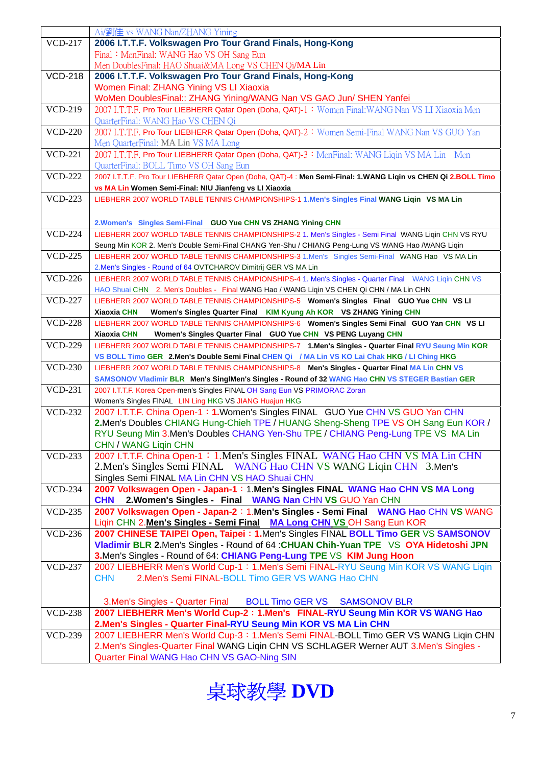|                | Ai/劉佳 vs WANG Nan/ZHANG Yining                                                                                 |
|----------------|----------------------------------------------------------------------------------------------------------------|
| <b>VCD-217</b> | 2006 I.T.T.F. Volkswagen Pro Tour Grand Finals, Hong-Kong                                                      |
|                |                                                                                                                |
|                | Final: MenFinal: WANG Hao VS OH Sang Eun                                                                       |
|                | Men DoublesFinal: HAO Shuai&MA Long VS CHEN Qi/MA Lin                                                          |
| <b>VCD-218</b> | 2006 I.T.T.F. Volkswagen Pro Tour Grand Finals, Hong-Kong                                                      |
|                | Women Final: ZHANG Yining VS LI Xiaoxia                                                                        |
|                | WoMen DoublesFinal:: ZHANG Yining/WANG Nan VS GAO Jun/ SHEN Yanfei                                             |
| <b>VCD-219</b> | 2007 I.T.T.F. Pro Tour LIEBHERR Qatar Open (Doha, QAT)-1: Women Final: WANG Nan VS LI Xiaoxia Men              |
|                | QuarterFinal: WANG Hao VS CHEN Qi                                                                              |
| <b>VCD-220</b> | 2007 I.T.T.F. Pro Tour LIEBHERR Qatar Open (Doha, QAT)-2: Women Semi-Final WANG Nan VS GUO Yan                 |
|                | Men QuarterFinal: MA Lin VS MA Long                                                                            |
| <b>VCD-221</b> | 2007 I.T.T.F. Pro Tour LIEBHERR Qatar Open (Doha, QAT)-3: MenFinal: WANG Ligin VS MA Lin Men                   |
|                | QuarterFinal: BOLL Timo VS OH Sang Eun                                                                         |
| <b>VCD-222</b> | 2007 I.T.T.F. Pro Tour LIEBHERR Qatar Open (Doha, QAT)-4 : Men Semi-Final: 1.WANG Liqin vs CHEN Qi 2.BOLL Timo |
|                | vs MA Lin Women Semi-Final: NIU Jianfeng vs LI Xiaoxia                                                         |
| $VCD-223$      | LIEBHERR 2007 WORLD TABLE TENNIS CHAMPIONSHIPS-1 1.Men's Singles Final WANG Liqin VS MA Lin                    |
|                |                                                                                                                |
|                | 2. Women's Singles Semi-Final GUO Yue CHN VS ZHANG Yining CHN                                                  |
| <b>VCD-224</b> | LIEBHERR 2007 WORLD TABLE TENNIS CHAMPIONSHIPS-2 1. Men's Singles - Semi Final WANG Liqin CHN VS RYU           |
|                | Seung Min KOR 2. Men's Double Semi-Final CHANG Yen-Shu / CHIANG Peng-Lung VS WANG Hao /WANG Liqin              |
| <b>VCD-225</b> | LIEBHERR 2007 WORLD TABLE TENNIS CHAMPIONSHIPS-3 1.Men's Singles Semi-Final WANG Hao VS MA Lin                 |
|                | 2.Men's Singles - Round of 64 OVTCHAROV Dimitrij GER VS MA Lin                                                 |
| <b>VCD-226</b> | LIEBHERR 2007 WORLD TABLE TENNIS CHAMPIONSHIPS-4 1. Men's Singles - Quarter Final WANG Liqin CHN VS            |
|                | HAO Shuai CHN 2. Men's Doubles - Final WANG Hao / WANG Liqin VS CHEN Qi CHN / MA Lin CHN                       |
| <b>VCD-227</b> | LIEBHERR 2007 WORLD TABLE TENNIS CHAMPIONSHIPS-5 Women's Singles Final GUO Yue CHN VS LI                       |
|                | Xiaoxia CHN<br>Women's Singles Quarter Final KIM Kyung Ah KOR VS ZHANG Yining CHN                              |
| <b>VCD-228</b> | LIEBHERR 2007 WORLD TABLE TENNIS CHAMPIONSHIPS-6 Women's Singles Semi Final GUO Yan CHN VS LI                  |
|                | Xiaoxia CHN<br>Women's Singles Quarter Final GUO Yue CHN VS PENG Luyang CHN                                    |
| <b>VCD-229</b> | LIEBHERR 2007 WORLD TABLE TENNIS CHAMPIONSHIPS-7 1.Men's Singles - Quarter Final RYU Seung Min KOR             |
|                | VS BOLL Timo GER 2.Men's Double Semi Final CHEN Qi / MA Lin VS KO Lai Chak HKG / LI Ching HKG                  |
| <b>VCD-230</b> | LIEBHERR 2007 WORLD TABLE TENNIS CHAMPIONSHIPS-8 Men's Singles - Quarter Final MA Lin CHN VS                   |
|                | SAMSONOV Vladimir BLR Men's SinglMen's Singles - Round of 32 WANG Hao CHN VS STEGER Bastian GER                |
| <b>VCD-231</b> | 2007 I.T.T.F. Korea Open-men's Singles FINAL OH Sang Eun VS PRIMORAC Zoran                                     |
|                | Women's Singles FINAL LIN Ling HKG VS JIANG Huajun HKG                                                         |
| <b>VCD-232</b> | 2007 I.T.T.F. China Open-1: 1. Women's Singles FINAL GUO Yue CHN VS GUO Yan CHN                                |
|                | 2. Men's Doubles CHIANG Hung-Chieh TPE / HUANG Sheng-Sheng TPE VS OH Sang Eun KOR /                            |
|                | RYU Seung Min 3.Men's Doubles CHANG Yen-Shu TPE / CHIANG Peng-Lung TPE VS MA Lin                               |
|                | <b>CHN / WANG Ligin CHN</b>                                                                                    |
| <b>VCD-233</b> | 2007 I.T.T.F. China Open-1: 1.Men's Singles FINAL WANG Hao CHN VS MA Lin CHN                                   |
|                | 2. Men's Singles Semi FINAL WANG Hao CHN VS WANG Liqin CHN 3. Men's                                            |
|                | Singles Semi FINAL MA Lin CHN VS HAO Shuai CHN                                                                 |
| <b>VCD-234</b> | 2007 Volkswagen Open - Japan-1: 1. Men's Singles FINAL WANG Hao CHN VS MA Long                                 |
|                | 2. Women's Singles - Final WANG Nan CHN VS GUO Yan CHN<br><b>CHN</b>                                           |
| <b>VCD-235</b> | 2007 Volkswagen Open - Japan-2: 1. Men's Singles - Semi Final WANG Hao CHN VS WANG                             |
|                | Ligin CHN 2. Men's Singles - Semi Final MA Long CHN VS OH Sang Eun KOR                                         |
| <b>VCD-236</b> | 2007 CHINESE TAIPEI Open, Taipei: 1.Men's Singles FINAL BOLL Timo GER VS SAMSONOV                              |
|                | Vladimir BLR 2.Men's Singles - Round of 64 : CHUAN Chih-Yuan TPE VS OYA Hidetoshi JPN                          |
|                | 3.Men's Singles - Round of 64: CHIANG Peng-Lung TPE VS KIM Jung Hoon                                           |
| <b>VCD-237</b> | 2007 LIEBHERR Men's World Cup-1: 1.Men's Semi FINAL-RYU Seung Min KOR VS WANG Liqin                            |
|                | <b>CHN</b><br>2. Men's Semi FINAL-BOLL Timo GER VS WANG Hao CHN                                                |
|                |                                                                                                                |
|                | 3. Men's Singles - Quarter Final<br>BOLL Timo GER VS SAMSONOV BLR                                              |
| <b>VCD-238</b> | 2007 LIEBHERR Men's World Cup-2: 1. Men's FINAL-RYU Seung Min KOR VS WANG Hao                                  |
|                | 2. Men's Singles - Quarter Final-RYU Seung Min KOR VS MA Lin CHN                                               |
| <b>VCD-239</b> | 2007 LIEBHERR Men's World Cup-3: 1. Men's Semi FINAL-BOLL Timo GER VS WANG Ligin CHN                           |
|                | 2. Men's Singles-Quarter Final WANG Liqin CHN VS SCHLAGER Werner AUT 3. Men's Singles -                        |
|                | Quarter Final WANG Hao CHN VS GAO-Ning SIN                                                                     |
|                |                                                                                                                |

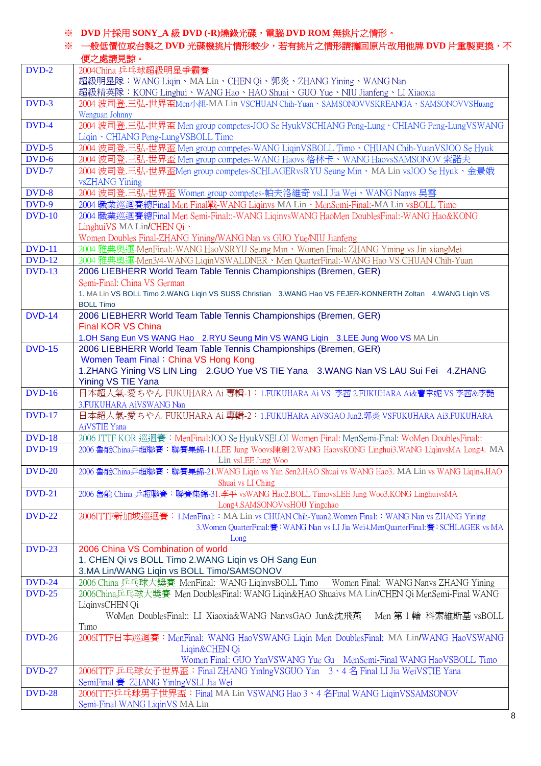## ※ **DVD** 片採用 **SONY\_A** 級 **DVD (-R)**燒錄光碟,電腦 **DVD ROM** 無挑片之情形。

※ 一般低價位或台製之 DVD 光碟機挑片情形較少,若有挑片之情形請攜回原片改用他牌 DVD 片重製更換,不 便之處請見諒。

|               | 使乙處請見諒。                                                                                                                                               |
|---------------|-------------------------------------------------------------------------------------------------------------------------------------------------------|
| DVD-2         | 2004China 乒乓球超級明星爭霸賽                                                                                                                                  |
|               | 超級明星隊:WANG Liqin、MA Lin、CHEN Qi、郭炎、ZHANG Yining、WANG Nan                                                                                              |
|               | 超級精英隊:KONG Linghui、WANG Hao、HAO Shuai、GUO Yue、NIU Jianfeng、LI Xiaoxia                                                                                 |
| DVD-3         | 2004 波司登.三弘-世界盃Men小組-MA Lin VSCHUAN Chih-Yuan、SAMSONOVVSKREANGA、SAMSONOVVSHuang                                                                       |
|               | Wenguan Johnny                                                                                                                                        |
| DVD-4         | 2004 波司登.三弘-世界盃 Men group competes-JOO Se HyukVSCHIANG Peng-Lung、CHIANG Peng-LungVSWANG                                                               |
|               | Liqin · CHIANG Peng-LungVSBOLL Timo                                                                                                                   |
| $DVD-5$       | 2004 波司登.三弘-世界盃 Men group competes-WANG LiqinVSBOLL Timo、CHUAN Chih-YuanVSJOO Se Hyuk                                                                 |
| $DVD-6$       | 2004 波司登.三弘-世界盃 Men group competes-WANG Haovs 格林卡、WANG HaovsSAMSONOV 索諾夫                                                                              |
| DVD-7         | 2004 波司登.三弘-世界盃Men group competes-SCHLAGERvsRYU Seung Min、MA Lin vsJOO Se Hyuk、金景娥                                                                    |
|               | vsZHANG Yining                                                                                                                                        |
| DVD-8         | 2004 波司登.三弘-世界盃 Women group competes-帕夫洛維奇 vsLI Jia Wei、WANG Nanvs 吳雪                                                                                 |
| DVD-9         | 2004 職業巡迴賽總Final Men Final戰-WANG Liqinvs MA Lin 、MenSemi-Final:-MA Lin vsBOLL Timo                                                                    |
| <b>DVD-10</b> | 2004 職業巡迴賽總Final Men Semi-Final::-WANG LiginvsWANG HaoMen DoublesFinal:-WANG Hao&KONG                                                                 |
|               | LinghuiVS MA Lin/CHEN Qi 、                                                                                                                            |
|               | Women Doubles Final-ZHANG Yining/WANG Nan vs GUO Yue/NIU Jianfeng                                                                                     |
| <b>DVD-11</b> | 2004 雅典奧運-MenFinal:-WANG HaoVSRYU Seung Min、Women Final: ZHANG Yining vs Jin xiangMei                                                                 |
| <b>DVD-12</b> | 2004 雅典奧運-Men3/4-WANG LiginVSWALDNER、Men QuarterFinal:-WANG Hao VS CHUAN Chih-Yuan                                                                    |
| <b>DVD-13</b> | 2006 LIEBHERR World Team Table Tennis Championships (Bremen, GER)                                                                                     |
|               | Semi-Final: China VS German                                                                                                                           |
|               | 1. MA Lin VS BOLL Timo 2.WANG Liqin VS SUSS Christian 3.WANG Hao VS FEJER-KONNERTH Zoltan 4.WANG Liqin VS                                             |
|               | <b>BOLL Timo</b>                                                                                                                                      |
| <b>DVD-14</b> | 2006 LIEBHERR World Team Table Tennis Championships (Bremen, GER)                                                                                     |
|               | <b>Final KOR VS China</b>                                                                                                                             |
| <b>DVD-15</b> | 1.OH Sang Eun VS WANG Hao 2.RYU Seung Min VS WANG Liqin 3.LEE Jung Woo VS MA Lin<br>2006 LIEBHERR World Team Table Tennis Championships (Bremen, GER) |
|               | Women Team Final: China VS Hong Kong                                                                                                                  |
|               | 1.ZHANG Yining VS LIN Ling 2.GUO Yue VS TIE Yana 3.WANG Nan VS LAU Sui Fei 4.ZHANG                                                                    |
|               | Yining VS TIE Yana                                                                                                                                    |
| <b>DVD-16</b> | 日本超人氣-愛ちやん FUKUHARA Ai 專輯-1: 1.FUKUHARA Ai VS 李茜 2.FUKUHARA Ai&曹幸妮 VS 李茜&李艷                                                                           |
|               | 3.FUKUHARA AiVSWANG Nan                                                                                                                               |
| <b>DVD-17</b> | 日本超人氣-愛ちやん FUKUHARA Ai 專輯-2:1.FUKUHARA AiVSGAO Jun2.郭炎 VSFUKUHARA Ai3.FUKUHARA                                                                        |
|               | AiVSTIE Yana                                                                                                                                          |
| <b>DVD-18</b> | 2006 ITTF KOR 巡迴賽: MenFinal:JOO Se HyukVSELOI Women Final: MenSemi-Final: WoMen DoublesFinal::                                                        |
| <b>DVD-19</b> | 2006 魯能China乒超聯賽:聯賽集錦-11.LEE Jung Woovs陳劍 2.WANG HaovsKONG Linghui3.WANG LiqinvsMA Long4. MA                                                          |
|               | Lin vsLEE Jung Woo                                                                                                                                    |
| <b>DVD-20</b> | 2006 魯能China乒超聯賽:聯賽集錦-21.WANG Ligin vs Yan Sen2.HAO Shuai vs WANG Hao3. MA Lin vs WANG Ligin4.HAO                                                     |
|               | Shuai vs LI Ching                                                                                                                                     |
| <b>DVD-21</b> | 2006 魯能 China 乒超聯賽: 聯賽集錦-31.李平 vsWANG Hao2.BOLL TimovsLEE Jung Woo3.KONG LinghuivsMA                                                                  |
|               | Long4.SAMSONOVvsHOU Yingchao                                                                                                                          |
| <b>DVD-22</b> | 2006ITTF新加坡巡迴賽:1.MenFinal:: MA Lin vs CHUAN Chih-Yuan2.Women Final:: WANG Nan vs ZHANG Yining                                                         |
|               | 3. Women QuarterFinal:賽: WANG Nan vs LI Jia Wei4. MenQuarterFinal:賽: SCHLAGER vs MA                                                                   |
| <b>DVD-23</b> | Long<br>2006 China VS Combination of world                                                                                                            |
|               | 1. CHEN Qi vs BOLL Timo 2. WANG Liqin vs OH Sang Eun                                                                                                  |
|               | 3.MA Lin/WANG Liqin vs BOLL Timo/SAMSONOV                                                                                                             |
| <b>DVD-24</b> | 2006 China 乒乓球大獎賽 MenFinal: WANG LiqinvsBOLL Timo<br>Women Final: WANG Nanys ZHANG Yining                                                             |
| <b>DVD-25</b> | 2006China乒乓球大獎賽 Men DoublesFinal: WANG Liqin&HAO Shuaivs MA Lin/CHEN Qi MenSemi-Final WANG                                                            |
|               | LiqinvsCHEN Qi                                                                                                                                        |
|               | WoMen DoublesFinal:: LI Xiaoxia&WANG NanvsGAO Jun&沈飛燕<br>Men 第1輪 科索維斯基 vsBOLL                                                                         |
|               | Timo                                                                                                                                                  |
| <b>DVD-26</b> | 2006ITTF日本巡迴賽: MenFinal: WANG HaoVSWANG Ligin Men DoublesFinal: MA Lin/WANG HaoVSWANG                                                                 |
|               | Liqin&CHEN Qi                                                                                                                                         |
|               | Women Final: GUO YanVSWANG Yue Gu MenSemi-Final WANG HaoVSBOLL Timo                                                                                   |
| <b>DVD-27</b> | 2006ITTF 乒乓球女子世界盃: Final ZHANG YinlngVSGUO Yan 3、4名 Final LI Jia WeiVSTIE Yana                                                                        |
|               | SemiFinal 賽 ZHANG YinlngVSLI Jia Wei                                                                                                                  |
| <b>DVD-28</b> | 2006ITTF乒乓球男子世界盃: Final MA Lin VSWANG Hao 3、4 名Final WANG LiginVSSAMSONOV                                                                             |
|               | Semi-Final WANG LiqinVS MA Lin                                                                                                                        |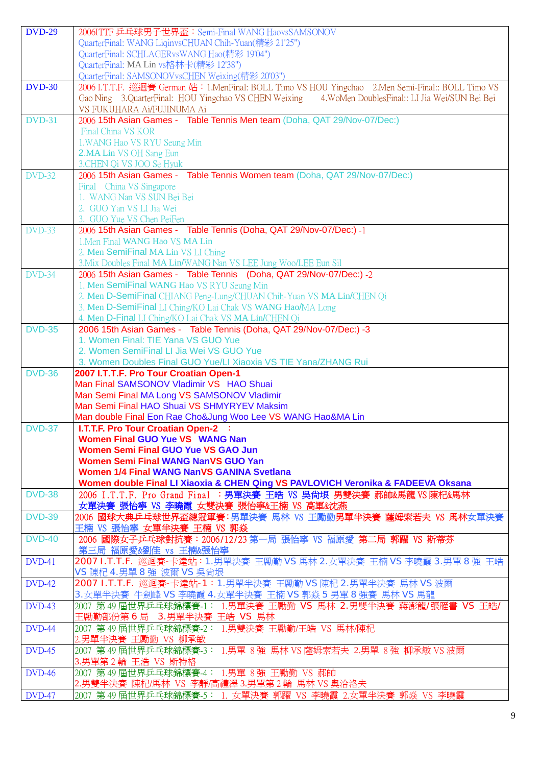| <b>DVD-29</b> | 2006ITTF 乒乓球男子世界盃: Semi-Final WANG HaovsSAMSONOV                                                            |
|---------------|-------------------------------------------------------------------------------------------------------------|
|               | QuarterFinal: WANG LiqinvsCHUAN Chih-Yuan(精彩 21'25")                                                        |
|               | QuarterFinal: SCHLAGERvsWANG Hao(精彩 19'04")                                                                 |
|               | QuarterFinal: MA Lin vs格林卡(精彩 12'38")                                                                       |
|               | QuarterFinal: SAMSONOVvsCHEN Weixing(精彩 20'03")                                                             |
| <b>DVD-30</b> | 2006 I.T.T.F. 巡迴賽 German 站: 1.MenFinal: BOLL Timo VS HOU Yingchao 2.Men Semi-Final:: BOLL Timo VS           |
|               | Gao Ning 3.QuarterFinal: HOU Yingchao VS CHEN Weixing 4.WoMen DoublesFinal:: LI Jia Wei/SUN Bei Bei         |
|               | VS FUKUHARA Ai/FUJINUMA Ai                                                                                  |
| <b>DVD-31</b> | 2006 15th Asian Games - Table Tennis Men team (Doha, QAT 29/Nov-07/Dec:)                                    |
|               | Final China VS KOR                                                                                          |
|               | 1. WANG Hao VS RYU Seung Min                                                                                |
|               | <b>2.MA Lin VS OH Sang Eun</b>                                                                              |
|               | 3. CHEN Qi VS JOO Se Hyuk                                                                                   |
| <b>DVD-32</b> | 2006 15th Asian Games - Table Tennis Women team (Doha, QAT 29/Nov-07/Dec:)                                  |
|               | Final China VS Singapore                                                                                    |
|               | 1. WANG Nan VS SUN Bei Bei                                                                                  |
|               | 2. GUO Yan VS LI Jia Wei                                                                                    |
|               | 3. GUO Yue VS Chen PeiFen                                                                                   |
| <b>DVD-33</b> | 2006 15th Asian Games - Table Tennis (Doha, QAT 29/Nov-07/Dec:) -1                                          |
|               | 1. Men Final WANG Hao VS MA Lin                                                                             |
|               | 2. Men SemiFinal MA Lin VS LI Ching                                                                         |
|               | 3. Mix Doubles Final MA Lin/WANG Nan VS LEE Jung Woo/LEE Eun Sil                                            |
| $DVD-34$      | 2006 15th Asian Games - Table Tennis (Doha, QAT 29/Nov-07/Dec:) -2                                          |
|               | 1. Men SemiFinal WANG Hao VS RYU Seung Min                                                                  |
|               | 2. Men D-SemiFinal CHIANG Peng-Lung/CHUAN Chih-Yuan VS MA Lin/CHEN Qi                                       |
|               | 3. Men D-SemiFinal LI Ching/KO Lai Chak VS WANG Hao/MA Long                                                 |
|               | 4. Men D-Final LI Ching/KO Lai Chak VS MA Lin/CHEN Qi                                                       |
| <b>DVD-35</b> | 2006 15th Asian Games - Table Tennis (Doha, QAT 29/Nov-07/Dec:) -3                                          |
|               | 1. Women Final: TIE Yana VS GUO Yue                                                                         |
|               | 2. Women SemiFinal LI Jia Wei VS GUO Yue                                                                    |
|               | 3. Women Doubles Final GUO Yue/LI Xiaoxia VS TIE Yana/ZHANG Rui                                             |
| <b>DVD-36</b> | 2007 I.T.T.F. Pro Tour Croatian Open-1                                                                      |
|               |                                                                                                             |
|               | Man Final SAMSONOV Vladimir VS HAO Shuai                                                                    |
|               | Man Semi Final MA Long VS SAMSONOV Vladimir                                                                 |
|               | Man Semi Final HAO Shuai VS SHMYRYEV Maksim                                                                 |
|               | Man double Final Eon Rae Cho&Jung Woo Lee VS WANG Hao&MA Lin                                                |
| <b>DVD-37</b> | <b>I.T.T.F. Pro Tour Croatian Open-2 :</b>                                                                  |
|               | <b>Women Final GUO Yue VS WANG Nan</b>                                                                      |
|               | <b>Women Semi Final GUO Yue VS GAO Jun</b>                                                                  |
|               | <b>Women Semi Final WANG NanVS GUO Yan</b>                                                                  |
|               | <b>Women 1/4 Final WANG NanVS GANINA Svetlana</b>                                                           |
|               | Women double Final LI Xiaoxia & CHEN Qing VS PAVLOVICH Veronika & FADEEVA Oksana                            |
| <b>DVD-38</b> | 2006 I.T.T.F. Pro Grand Final : 男單決賽 王皓 VS 吳尚垠 男雙決賽 郝帥&馬龍 VS 陳杞&馬林                                          |
|               | 女單決賽 張怡寧 VS 李曉霞 女雙決賽 張怡寧&王楠 VS 高軍&沈燕                                                                        |
| <b>DVD-39</b> | 2006 國球大典乒乓球世界盃總冠軍賽:男單決賽 馬林 VS 王勵勤男單半決賽 薩姆索若夫 VS 馬林女單決賽                                                     |
| <b>DVD-40</b> | 王楠 VS 張怡寧 女單半決賽 王楠 VS 郭焱                                                                                    |
|               | 2006 國際女子乒乓球對抗賽:2006/12/23 第一局 張怡寧 VS 福原愛 第二局 郭躍 VS 斯蒂芬<br>第三局 福原愛&劉佳 vs 王楠&張怡寧                             |
| DVD-41        | 2007 I.T.T.F. 巡迴賽-卡達站:1.男單決賽 王勵勤 VS 馬林 2.女單決賽 王楠 VS 李曉霞 3.男單 8 強 王皓                                         |
|               | VS 陳杞 4.男單 8 強 波爾 VS 吳尙垠                                                                                    |
| <b>DVD-42</b> | 2007 I.T.T.F. 巡迴賽-卡達站-1:1.男單半決賽 王勵勤 VS 陳杞 2.男單半決賽 馬林 VS 波爾                                                  |
|               | 3.女單半決賽 牛劍峰 VS 李曉霞 4.女單半決賽 王楠 VS 郭焱 5 男單 8 強賽 馬林 VS 馬龍                                                      |
| $DVD-43$      | 2007 第 49 屆世界乒乓球錦標賽-1: 1.男單決賽 王勵勤 VS 馬林 2.男雙半決賽 蔣澎龍/張雁書 VS 王皓/                                              |
|               | 王勵勤部份第6局 3.男單半決賽 王皓 VS 馬林                                                                                   |
| DVD-44        | 2007 第 49 屆世界乒乓球錦標賽-2: 1.男雙決賽 王勵勤/王皓 VS 馬林/陳杞                                                               |
|               | 2.男單半決賽 王勵勤 VS 柳承敏                                                                                          |
| <b>DVD-45</b> | 2007 第 49 屆世界乒乓球錦標賽-3: 1.男單 8 強 馬林 VS 薩姆索若夫 2.男單 8 強 柳承敏 VS 波爾                                              |
|               | 3.男單第2輪 王浩 VS 斯特格                                                                                           |
| <b>DVD-46</b> | 2007 第 49 屆世界乒乓球錦標賽-4: 1.男單 8 強 王勵勤 VS 郝帥                                                                   |
| <b>DVD-47</b> | 2.男雙半決賽 陳杞/馬林 VS 李靜/高禮澤 3.男單第 2 輪 馬林 VS 奧洽洛夫<br> 2007 第 49 屆世界乒乓球錦標賽-5: 1. 女單決賽 郭躍 VS 李曉霞 2.女單半決賽 郭焱 VS 李曉霞 |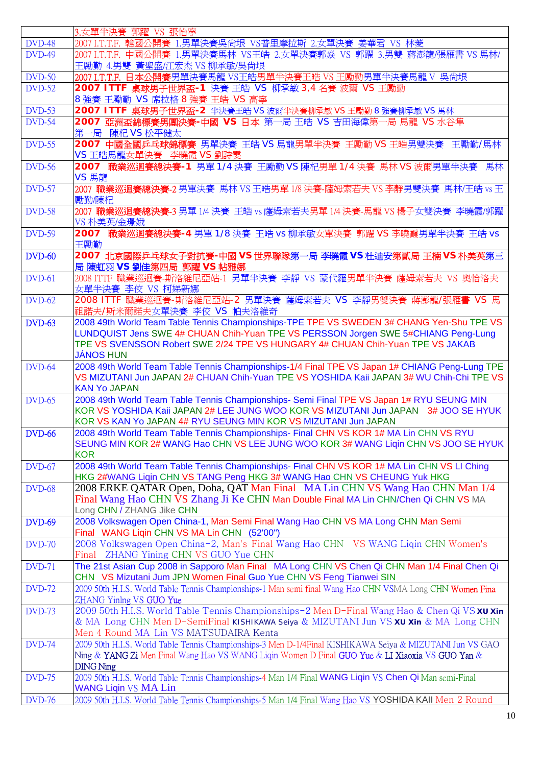|               | 3.女單半決賽 郭躍 VS 張怡寧                                                                                                                                                                                                               |
|---------------|---------------------------------------------------------------------------------------------------------------------------------------------------------------------------------------------------------------------------------|
| <b>DVD-48</b> | 2007 I.T.T.F. 韓國公開賽 1.男單決賽吳尙垠 VS普里摩拉斯 2.女單決賽 姜華君 VS 林菱                                                                                                                                                                          |
| <b>DVD-49</b> | 2007 I.T.T.F. 中國公開賽 1.男單決賽馬林 VS王皓 2.女單決賽郭焱 VS 郭躍 3.男雙 蔣澎龍/張雁書 VS 馬林/<br>王勵勤 4.男雙 黃聖盛/江宏杰 VS 柳承敏/吳尙垠                                                                                                                             |
| <b>DVD-50</b> | 2007 I.T.T.F. 日本公開賽男單決賽馬龍 VS王皓男單半決賽王皓 VS 王勵勤男單半決賽馬龍 V 吳尚垠                                                                                                                                                                       |
| <b>DVD-52</b> | 2007 ITTF 桌球男子世界盃-1 決賽 王皓 VS 柳承敏 3,4 名賽 波爾 VS 王勵勤<br>8 強賽 王勵勤 VS 席拉格 8 強賽 王皓 VS 高寧                                                                                                                                              |
| <b>DVD-53</b> | 2007 ITTF 桌球男子世界盃-2 半決賽王皓 VS 波爾半決賽柳承敏 VS 王勵勤 8 強賽柳承敏 VS 馬林                                                                                                                                                                      |
| <b>DVD-54</b> | 2007 亞洲盃錦標賽男團決賽-中國 VS 日本 第一局 王皓 VS 吉田海偉第一局 馬龍 VS 水谷隼<br>第一局 陳杞 VS 松平健太                                                                                                                                                          |
| <b>DVD-55</b> | 2007 中國全國乒乓球錦標賽 男單決賽 王皓 VS 馬龍男單半決賽 王勵勤 VS 王皓男雙決賽 王勵勤/馬林<br>VS 王皓馬龍女單決賽 李曉霞 VS 劉詩雯                                                                                                                                               |
| <b>DVD-56</b> | 2007 職業巡迴賽總決賽-1 男單 1/4 決賽 王勵勤 VS 陳杞男單 1/4 決賽 馬林 VS 波爾男單半決賽 馬林<br>VS 馬龍                                                                                                                                                          |
| <b>DVD-57</b> | 2007 職業巡迴賽總決賽-2 男單決賽 馬林 VS 王皓男單 1/8 決賽-薩姆索若夫 VS 李靜男雙決賽 馬林/王皓 vs 王<br>勵勤/陳杞                                                                                                                                                      |
| <b>DVD-58</b> | 2007 職業巡迴賽總決賽-3 男單 1/4 決賽 王皓 vs 薩姆索若夫男單 1/4 決賽-馬龍 VS 楊子女雙決賽 李曉霞/郭躍<br>VS 朴美英/金璟娥                                                                                                                                                |
| <b>DVD-59</b> | 2007 職業巡迴賽總決賽-4 男單 1/8 決賽 王皓 vs 柳承敏女單決賽 郭躍 VS 李曉霞男單半決賽 王皓 vs<br>王勵勤                                                                                                                                                             |
| <b>DVD-60</b> | 2007 北京國際乒乓球女子對抗賽-中國 VS 世界聯隊第一局 李曉霞 VS 杜迪安第貳局 王楠 VS 朴美英第三<br>局 陳虹羽 VS 劉佳第四局 郭躍 VS 帖雅娜                                                                                                                                           |
| <b>DVD-61</b> | 2008 ITTF 職業巡迴賽-斯洛維尼亞站-1 男單半決賽 李靜 VS 蒙代羅男單半決賽 薩姆索若夫 VS 奧恰洛夫<br>女單半決賽 李佼 VS 柯娣新娜                                                                                                                                                 |
| <b>DVD-62</b> | 2008 ITTF 職業巡迴賽-斯洛維尼亞站-2 男單決賽 薩姆索若夫 VS 李靜男雙決賽 蔣澎龍/張雁書 VS 馬<br>祖諾夫/斯米爾諾夫女單決賽 李佼 VS 帕夫洛維奇                                                                                                                                         |
| <b>DVD-63</b> | 2008 49th World Team Table Tennis Championships-TPE TPE VS SWEDEN 3# CHANG Yen-Shu TPE VS                                                                                                                                       |
|               | LUNDQUIST Jens SWE 4# CHUAN Chih-Yuan TPE VS PERSSON Jorgen SWE 5#CHIANG Peng-Lung<br>TPE VS SVENSSON Robert SWE 2/24 TPE VS HUNGARY 4# CHUAN Chih-Yuan TPE VS JAKAB<br><b>JÁNOS HUN</b>                                        |
| <b>DVD-64</b> | 2008 49th World Team Table Tennis Championships-1/4 Final TPE VS Japan 1# CHIANG Peng-Lung TPE                                                                                                                                  |
|               | VS MIZUTANI Jun JAPAN 2# CHUAN Chih-Yuan TPE VS YOSHIDA Kaii JAPAN 3# WU Chih-Chi TPE VS<br><b>KAN Yo JAPAN</b>                                                                                                                 |
| <b>DVD-65</b> | 2008 49th World Team Table Tennis Championships- Semi Final TPE VS Japan 1# RYU SEUNG MIN                                                                                                                                       |
|               | KOR VS YOSHIDA Kaii JAPAN 2# LEE JUNG WOO KOR VS MIZUTANI Jun JAPAN 3# JOO SE HYUK<br>KOR VS KAN Yo JAPAN 4# RYU SEUNG MIN KOR VS MIZUTANI Jun JAPAN                                                                            |
| <b>DVD-66</b> | 2008 49th World Team Table Tennis Championships- Final CHN VS KOR 1# MA Lin CHN VS RYU<br>SEUNG MIN KOR 2# WANG Hao CHN VS LEE JUNG WOO KOR 3# WANG Ligin CHN VS JOO SE HYUK<br><b>KOR</b>                                      |
| <b>DVD-67</b> | 2008 49th World Team Table Tennis Championships- Final CHN VS KOR 1# MA Lin CHN VS LI Ching<br>HKG 2#WANG Liqin CHN VS TANG Peng HKG 3# WANG Hao CHN VS CHEUNG Yuk HKG                                                          |
| <b>DVD-68</b> | 2008 ERKE QATAR Open, Doha, QAT Man Final MA Lin CHN VS Wang Hao CHN Man 1/4<br>Final Wang Hao CHN VS Zhang Ji Ke CHN Man Double Final MA Lin CHN/Chen Qi CHN VS MA<br>Long CHN / ZHANG Jike CHN                                |
| <b>DVD-69</b> | 2008 Volkswagen Open China-1, Man Semi Final Wang Hao CHN VS MA Long CHN Man Semi<br>Final WANG Liqin CHN VS MA Lin CHN (52'00")                                                                                                |
| <b>DVD-70</b> | 2008 Volkswagen Open China-2, Man's Final Wang Hao CHN VS WANG Liqin CHN Women's<br>Final ZHANG Yining CHN VS GUO Yue CHN                                                                                                       |
| <b>DVD-71</b> | The 21st Asian Cup 2008 in Sapporo Man Final MA Long CHN VS Chen Qi CHN Man 1/4 Final Chen Qi<br>CHN VS Mizutani Jum JPN Women Final Guo Yue CHN VS Feng Tianwei SIN                                                            |
| <b>DVD-72</b> | 2009 50th H.I.S. World Table Tennis Championships-1 Man semi final Wang Hao CHN VSMA Long CHN Women Fina<br>ZHANG Yinlng VS GUO Yue                                                                                             |
| <b>DVD-73</b> | 2009 50th H.I.S. World Table Tennis Championships-2 Men D-Final Wang Hao & Chen Qi VS xu xin<br>& MA Long CHN Men D-SemiFinal KISHIKAWA Seiya & MIZUTANI Jun VS xu xin & MA Long CHN<br>Men 4 Round MA Lin VS MATSUDAIRA Kenta  |
| <b>DVD-74</b> | 2009 50th H.I.S. World Table Tennis Championships-3 Men D-1/4Final KISHIKAWA Seiya & MIZUTANI Jun VS GAO<br>Ning & YANG Zi Men Final Wang Hao VS WANG Liqin Women D Final GUO Yue & LI Xiaoxia VS GUO Yan &<br><b>DING Ning</b> |
| <b>DVD-75</b> | 2009 50th H.I.S. World Table Tennis Championships-4 Man 1/4 Final WANG Liqin VS Chen Qi Man semi-Final<br><b>WANG Liqin VS MA Lin</b>                                                                                           |
| <b>DVD-76</b> | 2009 50th H.I.S. World Table Tennis Championships-5 Man 1/4 Final Wang Hao VS YOSHIDA KAII Men 2 Round                                                                                                                          |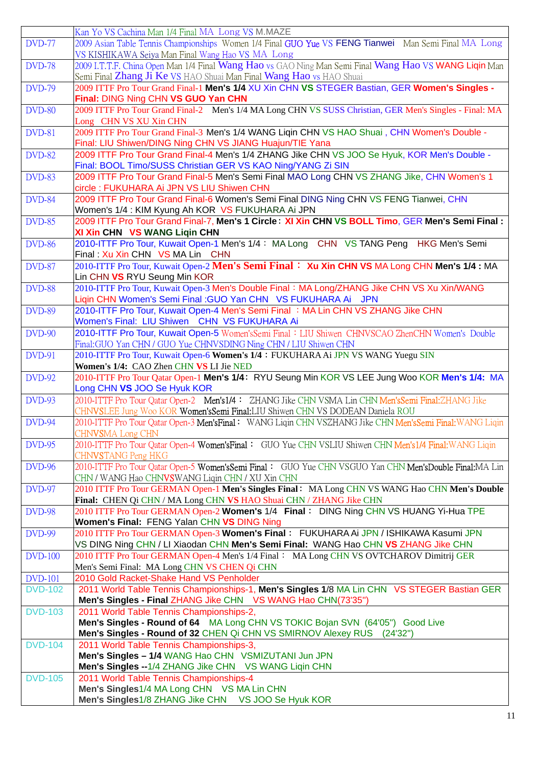|                | Kan Yo VS Cachina Man 1/4 Final MA Long VS M.MAZE                                                                                                                                   |
|----------------|-------------------------------------------------------------------------------------------------------------------------------------------------------------------------------------|
| <b>DVD-77</b>  | 2009 Asian Table Tennis Championships Women 1/4 Final GUO Yue VS FENG Tianwei Man Semi Final MA Long<br>VS KISHIKAWA Seiya Man Final Wang Hao VS MA Long                            |
| <b>DVD-78</b>  | 2009 I.T.T.F. China Open Man 1/4 Final Wang Hao vs GAO Ning Man Semi Final Wang Hao VS WANG Liqin Man<br>Semi Final Zhang Ji Ke VS HAO Shuai Man Final Wang Hao vs HAO Shuai        |
| <b>DVD-79</b>  | 2009 ITTF Pro Tour Grand Final-1 Men's 1/4 XU Xin CHN VS STEGER Bastian, GER Women's Singles -                                                                                      |
| <b>DVD-80</b>  | Final: DING Ning CHN VS GUO Yan CHN<br>2009 ITTF Pro Tour Grand Final-2 Men's 1/4 MA Long CHN VS SUSS Christian, GER Men's Singles - Final: MA                                      |
|                | Long CHN VS XU Xin CHN                                                                                                                                                              |
| <b>DVD-81</b>  | 2009 ITTF Pro Tour Grand Final-3 Men's 1/4 WANG Liqin CHN VS HAO Shuai, CHN Women's Double -<br>Final: LIU Shiwen/DING Ning CHN VS JIANG Huajun/TIE Yana                            |
| <b>DVD-82</b>  | 2009 ITTF Pro Tour Grand Final-4 Men's 1/4 ZHANG Jike CHN VS JOO Se Hyuk, KOR Men's Double -<br>Final: BOOL Timo/SUSS Christian GER VS KAO Ning/YANG Zi SIN                         |
| <b>DVD-83</b>  | 2009 ITTF Pro Tour Grand Final-5 Men's Semi Final MAO Long CHN VS ZHANG Jike, CHN Women's 1<br>circle: FUKUHARA Ai JPN VS LIU Shiwen CHN                                            |
| <b>DVD-84</b>  | 2009 ITTF Pro Tour Grand Final-6 Women's Semi Final DING Ning CHN VS FENG Tianwei, CHN<br>Women's 1/4 : KIM Kyung Ah KOR VS FUKUHARA Ai JPN                                         |
| <b>DVD-85</b>  | 2009 ITTF Pro Tour Grand Final-7, Men's 1 Circle: XI Xin CHN VS BOLL Timo, GER Men's Semi Final:                                                                                    |
|                | XI Xin CHN VS WANG Ligin CHN                                                                                                                                                        |
| <b>DVD-86</b>  | 2010-ITTF Pro Tour, Kuwait Open-1 Men's 1/4: MA Long CHN VS TANG Peng<br><b>HKG Men's Semi</b><br>Final: Xu Xin CHN VS MA Lin CHN                                                   |
| <b>DVD-87</b>  | 2010-ITTF Pro Tour, Kuwait Open-2 Men's Semi Final: Xu Xin CHN VS MA Long CHN Men's 1/4 : MA<br>Lin CHN VS RYU Seung Min KOR                                                        |
| <b>DVD-88</b>  | 2010-ITTF Pro Tour, Kuwait Open-3 Men's Double Final: MA Long/ZHANG Jike CHN VS Xu Xin/WANG<br>Liqin CHN Women's Semi Final : GUO Yan CHN VS FUKUHARA Ai JPN                        |
| <b>DVD-89</b>  | 2010-ITTF Pro Tour, Kuwait Open-4 Men's Semi Final : MA Lin CHN VS ZHANG Jike CHN<br>Women's Final: LIU Shiwen CHN VS FUKUHARA Ai                                                   |
| <b>DVD-90</b>  | 2010-ITTF Pro Tour, Kuwait Open-5 Women'sSemi Final: LIU Shiwen CHNVSCAO ZhenCHN Women's Double<br>Final: GUO Yan CHN / GUO Yue CHNVSDING Ning CHN / LIU Shiwen CHN                 |
| <b>DVD-91</b>  | 2010-ITTF Pro Tour, Kuwait Open-6 Women's 1/4: FUKUHARA Ai JPN VS WANG Yuegu SIN<br>Women's 1/4: CAO Zhen CHN VS LI Jie NED                                                         |
| <b>DVD-92</b>  | 2010-ITTF Pro Tour Qatar Open-1 Men's 1/4: RYU Seung Min KOR VS LEE Jung Woo KOR Men's 1/4: MA<br>Long CHN VS JOO Se Hyuk KOR                                                       |
| <b>DVD-93</b>  | 2010-ITTF Pro Tour Qatar Open-2 Men's 1/4: ZHANG Jike CHN VSMA Lin CHN Men's Semi Final: ZHANG Jike<br>CHNVSLEE Jung Woo KOR Women'sSemi Final:LIU Shiwen CHN VS DODEAN Daniela ROU |
| <b>DVD-94</b>  | 2010-ITTF Pro Tour Qatar Open-3 Men'sFinal: WANG Liqin CHN VSZHANG Jike CHN Men'sSemi Final: WANG Liqin<br>CHN <b>VS</b> MA Long CHN                                                |
| <b>DVD-95</b>  | 2010-ITTF Pro Tour Qatar Open-4 Women's Final: GUO Yue CHN VSLIU Shiwen CHN Men's 1/4 Final: WANG Ligin<br>CHNVSTANG Peng HKG                                                       |
| <b>DVD-96</b>  | 2010-ITTF Pro Tour Qatar Open-5 Women's Semi Final: GUO Yue CHN VSGUO Yan CHN Men's Double Final: MA Lin<br>CHN / WANG Hao CHNVSWANG Liqin CHN / XU Xin CHN                         |
| <b>DVD-97</b>  | 2010 ITTF Pro Tour GERMAN Open-1 Men's Singles Final: MA Long CHN VS WANG Hao CHN Men's Double<br>Final: CHEN Qi CHN / MA Long CHN VS HAO Shuai CHN / ZHANG Jike CHN                |
| <b>DVD-98</b>  | 2010 ITTF Pro Tour GERMAN Open-2 Women's 1/4 Final: DING Ning CHN VS HUANG Yi-Hua TPE<br>Women's Final: FENG Yalan CHN VS DING Ning                                                 |
| <b>DVD-99</b>  | 2010 ITTF Pro Tour GERMAN Open-3 Women's Final: FUKUHARA Ai JPN / ISHIKAWA Kasumi JPN                                                                                               |
| <b>DVD-100</b> | VS DING Ning CHN / LI Xiaodan CHN Men's Semi Final: WANG Hao CHN VS ZHANG Jike CHN<br>2010 ITTF Pro Tour GERMAN Open-4 Men's 1/4 Final: MA Long CHN VS OVTCHAROV Dimitrij GER       |
| <b>DVD-101</b> | Men's Semi Final: MA Long CHN VS CHEN Qi CHN<br>2010 Gold Racket-Shake Hand VS Penholder                                                                                            |
| <b>DVD-102</b> | 2011 World Table Tennis Championships-1, Men's Singles 1/8 MA Lin CHN VS STEGER Bastian GER                                                                                         |
|                | Men's Singles - Final ZHANG Jike CHN VS WANG Hao CHN(73'35")                                                                                                                        |
| <b>DVD-103</b> | 2011 World Table Tennis Championships-2,<br>Men's Singles - Round of 64 MA Long CHN VS TOKIC Bojan SVN (64'05") Good Live                                                           |
|                | Men's Singles - Round of 32 CHEN Qi CHN VS SMIRNOV Alexey RUS (24'32")                                                                                                              |
| <b>DVD-104</b> | 2011 World Table Tennis Championships-3,<br>Men's Singles - 1/4 WANG Hao CHN VSMIZUTANI Jun JPN                                                                                     |
|                | Men's Singles --1/4 ZHANG Jike CHN VS WANG Liqin CHN                                                                                                                                |
| <b>DVD-105</b> | 2011 World Table Tennis Championships-4                                                                                                                                             |
|                | Men's Singles1/4 MA Long CHN VS MA Lin CHN                                                                                                                                          |
|                | Men's Singles1/8 ZHANG Jike CHN VS JOO Se Hyuk KOR                                                                                                                                  |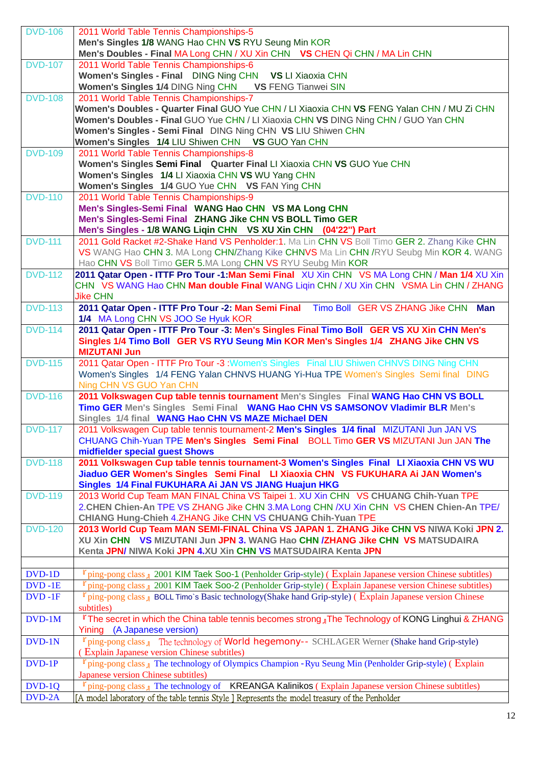| <b>DVD-106</b> | 2011 World Table Tennis Championships-5                                                                                           |
|----------------|-----------------------------------------------------------------------------------------------------------------------------------|
|                |                                                                                                                                   |
|                | Men's Singles 1/8 WANG Hao CHN VS RYU Seung Min KOR                                                                               |
|                | Men's Doubles - Final MA Long CHN / XU Xin CHN VS CHEN Qi CHN / MA Lin CHN                                                        |
| <b>DVD-107</b> | 2011 World Table Tennis Championships-6                                                                                           |
|                | Women's Singles - Final DING Ning CHN VS LI Xiaoxia CHN                                                                           |
|                | Women's Singles 1/4 DING Ning CHN VS FENG Tianwei SIN                                                                             |
| <b>DVD-108</b> | 2011 World Table Tennis Championships-7                                                                                           |
|                | Women's Doubles - Quarter Final GUO Yue CHN / LI Xiaoxia CHN VS FENG Yalan CHN / MU Zi CHN                                        |
|                | Women's Doubles - Final GUO Yue CHN / LI Xiaoxia CHN VS DING Ning CHN / GUO Yan CHN                                               |
|                | Women's Singles - Semi Final DING Ning CHN VS LIU Shiwen CHN                                                                      |
|                |                                                                                                                                   |
|                | Women's Singles 1/4 LIU Shiwen CHN VS GUO Yan CHN                                                                                 |
| <b>DVD-109</b> | 2011 World Table Tennis Championships-8                                                                                           |
|                | Women's Singles Semi Final Quarter Final LI Xiaoxia CHN VS GUO Yue CHN                                                            |
|                | Women's Singles 1/4 LI Xiaoxia CHN VS WU Yang CHN                                                                                 |
|                | Women's Singles 1/4 GUO Yue CHN VS FAN Ying CHN                                                                                   |
| <b>DVD-110</b> | 2011 World Table Tennis Championships-9                                                                                           |
|                | Men's Singles-Semi Final WANG Hao CHN VS MA Long CHN                                                                              |
|                | Men's Singles-Semi Final ZHANG Jike CHN VS BOLL Timo GER                                                                          |
|                | Men's Singles - 1/8 WANG Liqin CHN  VS XU Xin CHN  (04'22") Part                                                                  |
| <b>DVD-111</b> | 2011 Gold Racket #2-Shake Hand VS Penholder:1. Ma Lin CHN VS Boll Timo GER 2. Zhang Kike CHN                                      |
|                | VS WANG Hao CHN 3. MA Long CHN/Zhang Kike CHNVS Ma Lin CHN / RYU Seubg Min KOR 4. WANG                                            |
|                | Hao CHN VS Boll Timo GER 5.MA Long CHN VS RYU Seubg Min KOR                                                                       |
|                |                                                                                                                                   |
| <b>DVD-112</b> | 2011 Qatar Open - ITTF Pro Tour -1:Man Semi Final XU Xin CHN VS MA Long CHN / Man 1/4 XU Xin                                      |
|                | CHN VS WANG Hao CHN Man double Final WANG Ligin CHN / XU Xin CHN VSMA Lin CHN / ZHANG                                             |
|                | <b>Jike CHN</b>                                                                                                                   |
| <b>DVD-113</b> | 2011 Qatar Open - ITTF Pro Tour -2: Man Semi Final Timo Boll GER VS ZHANG Jike CHN Man                                            |
|                | 1/4 MA Long CHN VS JOO Se Hyuk KOR                                                                                                |
| <b>DVD-114</b> | 2011 Qatar Open - ITTF Pro Tour -3: Men's Singles Final Timo Boll GER VS XU Xin CHN Men's                                         |
|                | Singles 1/4 Timo Boll GER VS RYU Seung Min KOR Men's Singles 1/4 ZHANG Jike CHN VS                                                |
|                | <b>MIZUTANI Jun</b>                                                                                                               |
| <b>DVD-115</b> | 2011 Qatar Open - ITTF Pro Tour -3 : Women's Singles Final LIU Shiwen CHNVS DING Ning CHN                                         |
|                | Women's Singles 1/4 FENG Yalan CHNVS HUANG Yi-Hua TPE Women's Singles Semi final DING                                             |
|                | Ning CHN VS GUO Yan CHN                                                                                                           |
| <b>DVD-116</b> | 2011 Volkswagen Cup table tennis tournament Men's Singles Final WANG Hao CHN VS BOLL                                              |
|                | Timo GER Men's Singles Semi Final WANG Hao CHN VS SAMSONOV Vladimir BLR Men's                                                     |
|                |                                                                                                                                   |
|                | Singles 1/4 final WANG Hao CHN VS MAZE Michael DEN                                                                                |
| <b>DVD-117</b> | 2011 Volkswagen Cup table tennis tournament-2 Men's Singles 1/4 final MIZUTANI Jun JAN VS                                         |
|                | CHUANG Chih-Yuan TPE Men's Singles Semi Final BOLL Timo GER VS MIZUTANI Jun JAN The                                               |
|                | midfielder special guest Shows                                                                                                    |
| <b>DVD-118</b> | 2011 Volkswagen Cup table tennis tournament-3 Women's Singles Final LI Xiaoxia CHN VS WU                                          |
|                | Jiaduo GER Women's Singles Semi Final LI Xiaoxia CHN VS FUKUHARA Ai JAN Women's                                                   |
|                | Singles 1/4 Final FUKUHARA Ai JAN VS JIANG Huajun HKG                                                                             |
| <b>DVD-119</b> | 2013 World Cup Team MAN FINAL China VS Taipei 1. XU Xin CHN VS CHUANG Chih-Yuan TPE                                               |
|                | 2. CHEN Chien-An TPE VS ZHANG Jike CHN 3.MA Long CHN /XU Xin CHN VS CHEN Chien-An TPE/                                            |
|                | CHIANG Hung-Chieh 4.ZHANG Jike CHN VS CHUANG Chih-Yuan TPE                                                                        |
| <b>DVD-120</b> | 2013 World Cup Team MAN SEMI-FINAL China VS JAPAN 1. ZHANG Jike CHN VS NIWA Koki JPN 2.                                           |
|                | XU Xin CHN VS MIZUTANI Jun JPN 3. WANG Hao CHN / ZHANG Jike CHN VS MATSUDAIRA                                                     |
|                | Kenta JPN/ NIWA Koki JPN 4.XU Xin CHN VS MATSUDAIRA Kenta JPN                                                                     |
|                |                                                                                                                                   |
| DVD-1D         | r ping-pong class 1 2001 KIM Taek Soo-1 (Penholder Grip-style) (Explain Japanese version Chinese subtitles)                       |
| $DVD - 1E$     | $\mathbb{F}$ ping-pong class $\mathbb{I}$ 2001 KIM Taek Soo-2 (Penholder Grip-style) (Explain Japanese version Chinese subtitles) |
|                |                                                                                                                                   |
| $DVD - 1F$     | $\mathbb{F}$ ping-pong class $\mathbb{I}$ BOLL Timo's Basic technology(Shake hand Grip-style) (Explain Japanese version Chinese   |
|                | subtitles)                                                                                                                        |
| $DVD-1M$       | <b>The secret in which the China table tennis becomes strong</b> The Technology of KONG Linghui & ZHANG                           |
|                | Yining (A Japanese version)                                                                                                       |
| DVD-1N         | $\mathbb{F}$ ping-pong class $\mathbb{I}$ The technology of World hegemony-- SCHLAGER Werner (Shake hand Grip-style)              |
|                | (Explain Japanese version Chinese subtitles)                                                                                      |
| DVD-1P         | $\mathbb{F}$ ping-pong class $\mathbb{I}$ The technology of Olympics Champion -Ryu Seung Min (Penholder Grip-style) (Explain      |
|                | Japanese version Chinese subtitles)                                                                                               |
| $DVD-1Q$       | $\mathbb{F}$ ping-pong class $\mathbb{I}$ The technology of KREANGA Kalinikos (Explain Japanese version Chinese subtitles)        |
| DVD-2A         | [A model laboratory of the table tennis Style ] Represents the model treasury of the Penholder                                    |
|                |                                                                                                                                   |